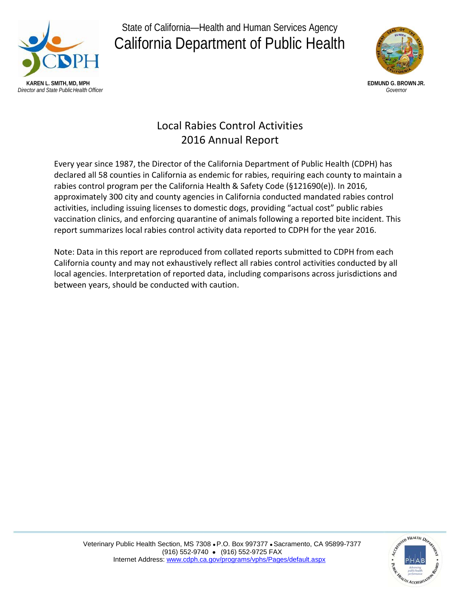

State of California—Health and Human Services Agency California Department of Public Health



# Local Rabies Control Activities 2016 Annual Report

Every year since 1987, the Director of the California Department of Public Health (CDPH) has declared all 58 counties in California as endemic for rabies, requiring each county to maintain a rabies control program per the California Health & Safety Code (§121690(e)). In 2016, approximately 300 city and county agencies in California conducted mandated rabies control activities, including issuing licenses to domestic dogs, providing "actual cost" public rabies vaccination clinics, and enforcing quarantine of animals following a reported bite incident. This report summarizes local rabies control activity data reported to CDPH for the year 2016.

Note: Data in this report are reproduced from collated reports submitted to CDPH from each California county and may not exhaustively reflect all rabies control activities conducted by all local agencies. Interpretation of reported data, including comparisons across jurisdictions and between years, should be conducted with caution.

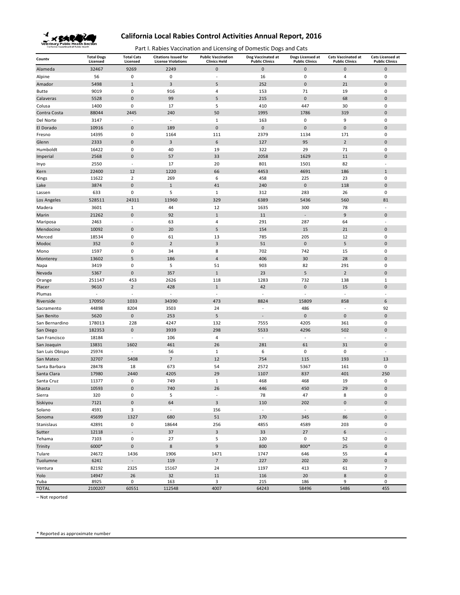

Part I. Rabies Vaccination and Licensing of Domestic Dogs and Cats

| County             | <b>Total Dogs</b><br>Licensed | <b>Total Cats</b><br>Licensed | <b>Citations Issued for</b><br><b>License Violations</b> | <b>Public Vaccination</b><br><b>Clinics Held</b> | Dog Vaccinated at<br><b>Public Clinics</b> | Dogs Licensed at<br><b>Public Clinics</b> | <b>Cats Vaccinated at</b><br><b>Public Clinics</b> | <b>Cats Licensed at</b><br><b>Public Clinics</b> |
|--------------------|-------------------------------|-------------------------------|----------------------------------------------------------|--------------------------------------------------|--------------------------------------------|-------------------------------------------|----------------------------------------------------|--------------------------------------------------|
| Alameda            | 32467                         | 9269                          | 2249                                                     | $\pmb{0}$                                        | $\mathbf 0$                                | $\bf 0$                                   | $\mathbf 0$                                        | $\pmb{0}$                                        |
| Alpine             | 56                            | 0                             | $\pmb{0}$                                                | ÷,                                               | 16                                         | $\bf 0$                                   | 4                                                  | $\pmb{0}$                                        |
| Amador             | 5498                          | $\mathbf 1$                   | $\mathsf 3$                                              | 5                                                | 252                                        | $\mathbf 0$                               | 21                                                 | $\pmb{0}$                                        |
| <b>Butte</b>       | 9019                          | 0                             | 916                                                      | $\overline{4}$                                   | 153                                        | 71                                        | 19                                                 | $\pmb{0}$                                        |
| Calaveras          | 5528                          | $\pmb{0}$                     | 99                                                       | 5                                                | 215                                        | $\pmb{0}$                                 | 68                                                 | $\pmb{0}$                                        |
| Colusa             | 1400                          | $\mathbf 0$                   | 17                                                       | 5                                                | 410                                        | 447                                       | 30                                                 | 0                                                |
| Contra Costa       | 88044                         | 2445                          | 240                                                      | 50                                               | 1995                                       | 1786                                      | 319                                                | $\pmb{0}$                                        |
| Del Norte          | 3147                          | $\sim$                        | $\sim$                                                   | $\mathbf{1}$                                     | 163                                        | $\mathbf 0$                               | 9                                                  | 0                                                |
| El Dorado          | 10916                         | $\bf 0$                       | 189                                                      | $\pmb{0}$                                        | $\mathbf 0$                                | $\mathbf 0$                               | $\mathbf 0$                                        | $\pmb{0}$                                        |
| Fresno             | 14395                         | $\pmb{0}$                     | 1164                                                     | 111                                              | 2379                                       | 1134                                      | 171                                                | 0                                                |
| Glenn              | 2333                          | $\pmb{0}$                     | $\mathsf 3$                                              | 6                                                | 127                                        | 95                                        | $\overline{2}$                                     | $\pmb{0}$                                        |
| Humboldt           | 16422                         | 0                             | 40                                                       | 19                                               | 322                                        | 29                                        | 71                                                 | 0                                                |
| Imperial           | 2568                          | $\pmb{0}$                     | 57                                                       | 33                                               | 2058                                       | 1629                                      | 11                                                 | $\pmb{0}$                                        |
| Inyo               | 2550                          | ÷,                            | 17                                                       | 20                                               | 801                                        | 1501                                      | 82                                                 | ÷,                                               |
| Kern               | 22400                         | 12                            | 1220                                                     | 66                                               | 4453                                       | 4691                                      | 186                                                | $\mathbf{1}$                                     |
| Kings              | 11622                         | $\overline{2}$                | 269                                                      | 6                                                | 458                                        | 225                                       | 23                                                 | 0                                                |
| Lake               | 3874                          | $\pmb{0}$                     | $\,1\,$                                                  | 41                                               | 240                                        | $\pmb{0}$                                 | 118                                                | $\pmb{0}$                                        |
| Lassen             | 633                           | 0                             | 5                                                        | $\mathbf{1}$                                     | 312                                        | 283                                       | 26                                                 | 0                                                |
| Los Angeles        | 528511                        | 24311                         | 11960                                                    | 329                                              | 6389                                       | 5436                                      | 560                                                | 81                                               |
| Madera             | 3601                          | $\mathbf{1}$                  | 44                                                       | 12                                               | 1635                                       | 300                                       | 78                                                 | $\overline{\phantom{a}}$                         |
| Marin              | 21262                         | $\pmb{0}$                     | 92                                                       | $\mathbf{1}$                                     | 11                                         | $\overline{\phantom{a}}$                  | 9                                                  | $\pmb{0}$                                        |
| Mariposa           | 2463                          | ÷,                            | 63                                                       | $\overline{4}$                                   | 291                                        | 287                                       | 64                                                 | ÷,                                               |
| Mendocino          | 10092                         | $\pmb{0}$                     | 20                                                       | 5                                                | 154                                        | 15                                        | 21                                                 | $\pmb{0}$                                        |
| Merced             | 18534                         | 0                             | 61                                                       | 13                                               | 785                                        | 205                                       | 12                                                 | 0                                                |
| Modoc              | 352                           | $\pmb{0}$                     | $\sqrt{2}$                                               | $\mathsf 3$                                      | 51                                         | $\pmb{0}$                                 | 5                                                  | $\pmb{0}$                                        |
| Mono               | 1597                          | 0                             | 34                                                       | 8                                                | 702                                        | 742                                       | 15                                                 | 0                                                |
| Monterey           | 13602                         | 5                             | 186                                                      | $\overline{4}$                                   | 406                                        | 30                                        | 28                                                 | $\pmb{0}$                                        |
| Napa               | 3419                          | 0                             | 5                                                        | 51                                               | 903                                        | 82                                        | 291                                                | 0                                                |
| Nevada             | 5367                          | $\pmb{0}$                     | 357                                                      | $\mathbf{1}$                                     | 23                                         | 5                                         | $\overline{2}$                                     | $\pmb{0}$                                        |
| Orange             | 251147                        | 453                           | 2626                                                     | 118                                              | 1283                                       | 732                                       | 138                                                | $\mathbf 1$                                      |
| Placer             | 9610                          | $\mathbf 2$                   | 428                                                      | $\mathbf{1}$                                     | 42                                         | $\pmb{0}$                                 | 15                                                 | $\pmb{0}$                                        |
| Plumas             | ÷,                            | $\overline{\phantom{a}}$      | $\Box$                                                   | $\overline{\phantom{a}}$                         | $\overline{\phantom{a}}$                   | ÷,                                        | $\overline{\phantom{a}}$                           | ÷,                                               |
| Riverside          | 170950                        | 1033                          | 34390                                                    | 473                                              | 8824                                       | 15809                                     | 858                                                | 6                                                |
| Sacramento         | 44898                         | 8204                          | 3503                                                     | 24                                               | ÷,                                         | 486                                       | ÷,                                                 | 92                                               |
| San Benito         | 5620                          | $\pmb{0}$                     | 253                                                      | 5                                                | $\overline{a}$                             | $\mathbf 0$                               | $\mathbf 0$                                        | $\pmb{0}$                                        |
| San Bernardino     | 178013                        | 228                           | 4247                                                     | 132                                              | 7555                                       | 4205                                      | 361                                                | 0                                                |
| San Diego          | 182353                        | $\pmb{0}$                     | 3939                                                     | 298                                              | 5533                                       | 4296                                      | 502                                                | $\pmb{0}$                                        |
| San Francisco      | 18184                         | $\sim$                        | 106                                                      | $\sqrt{4}$                                       | $\sim$                                     | ÷,                                        | ÷,                                                 | ÷,                                               |
| San Joaquin        | 13831                         | 1602                          | 461                                                      | 26                                               | 281                                        | 61                                        | 31                                                 | $\pmb{0}$                                        |
| San Luis Obispo    | 25974                         | $\overline{\phantom{a}}$      | 56                                                       | $\mathbf{1}$                                     | 6                                          | $\mathbf 0$                               | $\mathbf 0$                                        | $\overline{\phantom{a}}$                         |
| San Mateo          | 32707                         | 5408                          | $\overline{7}$                                           | 12                                               | 754                                        | 115                                       | 193                                                | 13                                               |
| Santa Barbara      | 28478                         | 18                            | 673                                                      | 54                                               | 2572                                       | 5367                                      | 161                                                | 0                                                |
| Santa Clara        | 17980                         | 2440                          | 4205                                                     | 29                                               | 1107                                       | 837                                       | 401                                                | 250                                              |
| Santa Cruz         | 11377                         | 0                             | 749                                                      | $\mathbf{1}$                                     | 468                                        | 468                                       | 19                                                 | 0                                                |
| Shasta             | 10593                         | $\bf 0$                       | 740                                                      | 26<br>$\sim$                                     | 446                                        | 450                                       | 29                                                 | $\pmb{0}$                                        |
| Sierra             | 320                           | 0<br>$\pmb{0}$                | 5                                                        | $\overline{3}$                                   | 78                                         | 47                                        | 8                                                  | 0<br>$\pmb{0}$                                   |
| Siskiyou<br>Solano | 7121                          | 3                             | 64<br>$\omega$                                           |                                                  | 110<br>$\omega$                            | 202<br>$\bar{\phantom{a}}$                | $\pmb{0}$<br>$\sim$                                | ÷,                                               |
|                    | 4591                          |                               |                                                          | 156                                              |                                            |                                           |                                                    |                                                  |
| Sonoma             | 45699                         | 1327                          | 680                                                      | 51                                               | 170                                        | 345                                       | 86                                                 | $\pmb{0}$                                        |
| Stanislaus         | 42891                         | 0                             | 18644                                                    | 256                                              | 4855                                       | 4589                                      | 203                                                | 0                                                |
| Sutter             | 12118                         | $\overline{a}$<br>$\pmb{0}$   | 37                                                       | $\overline{\mathbf{3}}$<br>5                     | 33                                         | 27                                        | $\,$ 6 $\,$                                        | $\pmb{0}$                                        |
| Tehama             | 7103                          |                               | 27                                                       |                                                  | 120                                        | $\pmb{0}$                                 | 52                                                 |                                                  |
| Trinity            | 6000*                         | $\pmb{0}$                     | $\bf 8$                                                  | $\boldsymbol{9}$                                 | 800                                        | 800*                                      | 25                                                 | $\pmb{0}$                                        |
| Tulare<br>Tuolumne | 24672<br>6241                 | 1436<br>$\blacksquare$        | 1906<br>119                                              | 1471<br>$\overline{7}$                           | 1747<br>227                                | 646<br>202                                | 55<br>20                                           | $\overline{4}$<br>$\pmb{0}$                      |
| Ventura            |                               |                               |                                                          |                                                  |                                            |                                           |                                                    |                                                  |
|                    | 82192                         | 2325                          | 15167                                                    | 24                                               | 1197                                       | 413                                       | 61                                                 | $\overline{7}$                                   |
| Yolo<br>Yuba       | 14947<br>8925                 | 26<br>0                       | 32<br>163                                                | $11\,$<br>3                                      | 116<br>215                                 | 20<br>186                                 | $\,$ 8 $\,$<br>9                                   | $\pmb{0}$<br>0                                   |
| <b>TOTAL</b>       | 2100207                       | 60551                         | 112548                                                   | 4007                                             | 64243                                      | 58496                                     | 5486                                               | 455                                              |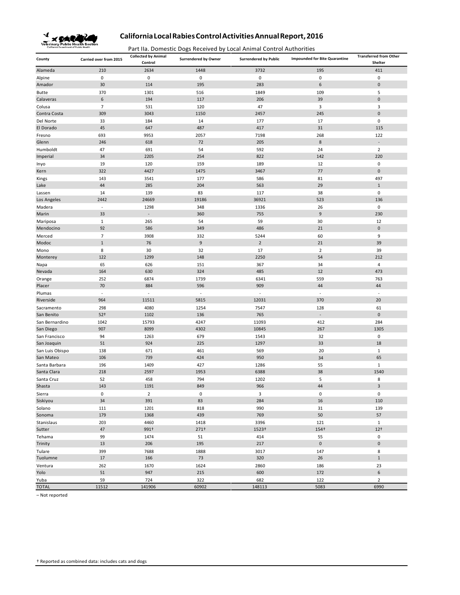

Part IIa. Domestic Dogs Received by Local Animal Control Authorities

| 2634<br>1448<br>195<br>411<br>Alameda<br>210<br>3732<br>0<br>$\mathbf 0$<br>$\mathbf 0$<br>0<br>0<br>0<br>Alpine<br>30<br>195<br>283<br>6<br>$\pmb{0}$<br>Amador<br>114<br>5<br><b>Butte</b><br>370<br>1301<br>516<br>1849<br>109<br>6<br>39<br>$\mathbf 0$<br>Calaveras<br>194<br>117<br>206<br>$\overline{7}$<br>120<br>47<br>3<br>3<br>Colusa<br>531<br>309<br>3043<br>1150<br>2457<br>245<br>$\mathbf 0$<br>Contra Costa<br>Del Norte<br>184<br>14<br>177<br>17<br>0<br>33<br>487<br>417<br>31<br>115<br>El Dorado<br>45<br>647<br>Fresno<br>693<br>9953<br>2057<br>7198<br>268<br>122<br>$\bf 8$<br>72<br>205<br>Glenn<br>246<br>618<br>47<br>592<br>$\overline{2}$<br>Humboldt<br>691<br>54<br>24<br>822<br>Imperial<br>34<br>2205<br>254<br>142<br>220<br>19<br>120<br>159<br>189<br>12<br>0<br>Inyo<br>322<br>4427<br>1475<br>3467<br>77<br>$\mathbf 0$<br>Kern<br>177<br>586<br>497<br>143<br>3541<br>81<br>Kings<br>44<br>285<br>204<br>563<br>29<br>$\mathbf{1}$<br>Lake<br>0<br>14<br>139<br>83<br>117<br>38<br>Lassen<br>19186<br>36921<br>523<br>Los Angeles<br>2442<br>24669<br>136<br>1298<br>348<br>0<br>Madera<br>$\omega$<br>1336<br>26<br>33<br>360<br>755<br>9<br>230<br>Marin<br>$\sim$<br>$\mathbf 1$<br>265<br>54<br>59<br>30<br>12<br>Mariposa<br>92<br>349<br>486<br>21<br>$\mathbf 0$<br>Mendocino<br>586<br>$\overline{7}$<br>3908<br>332<br>5244<br>60<br>9<br>Merced<br>$\,1\,$<br>9<br>$\overline{2}$<br>21<br>39<br>Modoc<br>76<br>8<br>$\overline{2}$<br>30<br>32<br>17<br>39<br>Mono<br>122<br>1299<br>148<br>2250<br>212<br>Monterey<br>54<br>367<br>65<br>626<br>151<br>34<br>4<br>Napa<br>630<br>324<br>485<br>12<br>473<br>Nevada<br>164<br>6874<br>1739<br>6341<br>559<br>Orange<br>252<br>763<br>70<br>884<br>596<br>909<br>44<br>Placer<br>44<br>$\omega$<br>$\omega$<br>$\omega$<br>Plumas<br>$\omega$<br>$\bar{\phantom{a}}$<br>$\sim$<br>5815<br>12031<br>370<br>20<br>Riverside<br>964<br>11511<br>1254<br>61<br>Sacramento<br>298<br>4080<br>7547<br>128<br>765<br>$\mathbf 0$<br>San Benito<br>$52+$<br>1102<br>136<br>$\overline{\phantom{a}}$<br>15793<br>4247<br>11093<br>284<br>San Bernardino<br>1042<br>412<br>907<br>8099<br>4302<br>10845<br>267<br>1305<br>San Diego<br>679<br>1543<br>32<br>$\boldsymbol{0}$<br>San Francisco<br>94<br>1263<br>51<br>924<br>225<br>1297<br>33<br>18<br>San Joaquin<br>San Luis Obispo<br>138<br>671<br>461<br>569<br>20<br>$\mathbf{1}$<br>950<br>65<br>San Mateo<br>106<br>739<br>424<br>34<br>Santa Barbara<br>196<br>1409<br>427<br>1286<br>55<br>$\mathbf{1}$<br>1953<br>6388<br>38<br>1540<br>Santa Clara<br>218<br>2597<br>5<br>Santa Cruz<br>52<br>458<br>794<br>1202<br>8<br>Shasta<br>143<br>1191<br>849<br>966<br>44<br>3<br>$\pmb{0}$<br>$\mathbf 0$<br>$\mathsf 0$<br>$\pmb{0}$<br>$\overline{2}$<br>3<br>Sierra<br>34<br>391<br>83<br>284<br>16<br>110<br>Siskiyou<br>Solano<br>818<br>111<br>1201<br>990<br>31<br>139<br>179<br>1368<br>439<br>769<br>50<br>57<br>Sonoma<br>Stanislaus<br>203<br>4460<br>1418<br>3396<br>121<br>$\mathbf{1}$<br>47<br>991+<br>271 <sup>†</sup><br>1523+<br>154+<br>$12+$<br>Sutter<br>99<br>51<br>414<br>$\mathbf 0$<br>Tehama<br>1474<br>55<br>13<br>206<br>195<br>217<br>$\mathbf 0$<br>$\mathbf 0$<br>Trinity<br>1888<br>Tulare<br>399<br>7688<br>3017<br>147<br>8<br>$73\,$<br>320<br>26<br>$\mathbf{1}$<br>Tuolumne<br>17<br>166<br>262<br>1624<br>2860<br>186<br>Ventura<br>1670<br>23<br>51<br>947<br>215<br>600<br>6<br>Yolo<br>172<br>59<br>Yuba<br>724<br>322<br>682<br>122<br>$\overline{2}$<br><b>TOTAL</b><br>11512<br>141906<br>60902<br>148113<br>5083<br>6990 | County | Carried over from 2015 | <b>Collected by Animal</b><br>Control | <b>Surrendered by Owner</b> | <b>Surrendered by Public</b> | <b>Impounded for Bite Quarantine</b> | <b>Transferred from Other</b><br>Shelter |
|----------------------------------------------------------------------------------------------------------------------------------------------------------------------------------------------------------------------------------------------------------------------------------------------------------------------------------------------------------------------------------------------------------------------------------------------------------------------------------------------------------------------------------------------------------------------------------------------------------------------------------------------------------------------------------------------------------------------------------------------------------------------------------------------------------------------------------------------------------------------------------------------------------------------------------------------------------------------------------------------------------------------------------------------------------------------------------------------------------------------------------------------------------------------------------------------------------------------------------------------------------------------------------------------------------------------------------------------------------------------------------------------------------------------------------------------------------------------------------------------------------------------------------------------------------------------------------------------------------------------------------------------------------------------------------------------------------------------------------------------------------------------------------------------------------------------------------------------------------------------------------------------------------------------------------------------------------------------------------------------------------------------------------------------------------------------------------------------------------------------------------------------------------------------------------------------------------------------------------------------------------------------------------------------------------------------------------------------------------------------------------------------------------------------------------------------------------------------------------------------------------------------------------------------------------------------------------------------------------------------------------------------------------------------------------------------------------------------------------------------------------------------------------------------------------------------------------------------------------------------------------------------------------------------------------------------------------------------------------------------------------------------------------------------------------------------------------------------------------------------------------------------------------------------------------------------------------------------------------------------------------------------------------------------------------------------------------------------------------------------------------------------------------------------------------------------------------------------------------------------------------------------------------------------------------------------------------------------------------------------|--------|------------------------|---------------------------------------|-----------------------------|------------------------------|--------------------------------------|------------------------------------------|
|                                                                                                                                                                                                                                                                                                                                                                                                                                                                                                                                                                                                                                                                                                                                                                                                                                                                                                                                                                                                                                                                                                                                                                                                                                                                                                                                                                                                                                                                                                                                                                                                                                                                                                                                                                                                                                                                                                                                                                                                                                                                                                                                                                                                                                                                                                                                                                                                                                                                                                                                                                                                                                                                                                                                                                                                                                                                                                                                                                                                                                                                                                                                                                                                                                                                                                                                                                                                                                                                                                                                                                                                                      |        |                        |                                       |                             |                              |                                      |                                          |
|                                                                                                                                                                                                                                                                                                                                                                                                                                                                                                                                                                                                                                                                                                                                                                                                                                                                                                                                                                                                                                                                                                                                                                                                                                                                                                                                                                                                                                                                                                                                                                                                                                                                                                                                                                                                                                                                                                                                                                                                                                                                                                                                                                                                                                                                                                                                                                                                                                                                                                                                                                                                                                                                                                                                                                                                                                                                                                                                                                                                                                                                                                                                                                                                                                                                                                                                                                                                                                                                                                                                                                                                                      |        |                        |                                       |                             |                              |                                      |                                          |
|                                                                                                                                                                                                                                                                                                                                                                                                                                                                                                                                                                                                                                                                                                                                                                                                                                                                                                                                                                                                                                                                                                                                                                                                                                                                                                                                                                                                                                                                                                                                                                                                                                                                                                                                                                                                                                                                                                                                                                                                                                                                                                                                                                                                                                                                                                                                                                                                                                                                                                                                                                                                                                                                                                                                                                                                                                                                                                                                                                                                                                                                                                                                                                                                                                                                                                                                                                                                                                                                                                                                                                                                                      |        |                        |                                       |                             |                              |                                      |                                          |
|                                                                                                                                                                                                                                                                                                                                                                                                                                                                                                                                                                                                                                                                                                                                                                                                                                                                                                                                                                                                                                                                                                                                                                                                                                                                                                                                                                                                                                                                                                                                                                                                                                                                                                                                                                                                                                                                                                                                                                                                                                                                                                                                                                                                                                                                                                                                                                                                                                                                                                                                                                                                                                                                                                                                                                                                                                                                                                                                                                                                                                                                                                                                                                                                                                                                                                                                                                                                                                                                                                                                                                                                                      |        |                        |                                       |                             |                              |                                      |                                          |
|                                                                                                                                                                                                                                                                                                                                                                                                                                                                                                                                                                                                                                                                                                                                                                                                                                                                                                                                                                                                                                                                                                                                                                                                                                                                                                                                                                                                                                                                                                                                                                                                                                                                                                                                                                                                                                                                                                                                                                                                                                                                                                                                                                                                                                                                                                                                                                                                                                                                                                                                                                                                                                                                                                                                                                                                                                                                                                                                                                                                                                                                                                                                                                                                                                                                                                                                                                                                                                                                                                                                                                                                                      |        |                        |                                       |                             |                              |                                      |                                          |
|                                                                                                                                                                                                                                                                                                                                                                                                                                                                                                                                                                                                                                                                                                                                                                                                                                                                                                                                                                                                                                                                                                                                                                                                                                                                                                                                                                                                                                                                                                                                                                                                                                                                                                                                                                                                                                                                                                                                                                                                                                                                                                                                                                                                                                                                                                                                                                                                                                                                                                                                                                                                                                                                                                                                                                                                                                                                                                                                                                                                                                                                                                                                                                                                                                                                                                                                                                                                                                                                                                                                                                                                                      |        |                        |                                       |                             |                              |                                      |                                          |
|                                                                                                                                                                                                                                                                                                                                                                                                                                                                                                                                                                                                                                                                                                                                                                                                                                                                                                                                                                                                                                                                                                                                                                                                                                                                                                                                                                                                                                                                                                                                                                                                                                                                                                                                                                                                                                                                                                                                                                                                                                                                                                                                                                                                                                                                                                                                                                                                                                                                                                                                                                                                                                                                                                                                                                                                                                                                                                                                                                                                                                                                                                                                                                                                                                                                                                                                                                                                                                                                                                                                                                                                                      |        |                        |                                       |                             |                              |                                      |                                          |
|                                                                                                                                                                                                                                                                                                                                                                                                                                                                                                                                                                                                                                                                                                                                                                                                                                                                                                                                                                                                                                                                                                                                                                                                                                                                                                                                                                                                                                                                                                                                                                                                                                                                                                                                                                                                                                                                                                                                                                                                                                                                                                                                                                                                                                                                                                                                                                                                                                                                                                                                                                                                                                                                                                                                                                                                                                                                                                                                                                                                                                                                                                                                                                                                                                                                                                                                                                                                                                                                                                                                                                                                                      |        |                        |                                       |                             |                              |                                      |                                          |
|                                                                                                                                                                                                                                                                                                                                                                                                                                                                                                                                                                                                                                                                                                                                                                                                                                                                                                                                                                                                                                                                                                                                                                                                                                                                                                                                                                                                                                                                                                                                                                                                                                                                                                                                                                                                                                                                                                                                                                                                                                                                                                                                                                                                                                                                                                                                                                                                                                                                                                                                                                                                                                                                                                                                                                                                                                                                                                                                                                                                                                                                                                                                                                                                                                                                                                                                                                                                                                                                                                                                                                                                                      |        |                        |                                       |                             |                              |                                      |                                          |
|                                                                                                                                                                                                                                                                                                                                                                                                                                                                                                                                                                                                                                                                                                                                                                                                                                                                                                                                                                                                                                                                                                                                                                                                                                                                                                                                                                                                                                                                                                                                                                                                                                                                                                                                                                                                                                                                                                                                                                                                                                                                                                                                                                                                                                                                                                                                                                                                                                                                                                                                                                                                                                                                                                                                                                                                                                                                                                                                                                                                                                                                                                                                                                                                                                                                                                                                                                                                                                                                                                                                                                                                                      |        |                        |                                       |                             |                              |                                      |                                          |
|                                                                                                                                                                                                                                                                                                                                                                                                                                                                                                                                                                                                                                                                                                                                                                                                                                                                                                                                                                                                                                                                                                                                                                                                                                                                                                                                                                                                                                                                                                                                                                                                                                                                                                                                                                                                                                                                                                                                                                                                                                                                                                                                                                                                                                                                                                                                                                                                                                                                                                                                                                                                                                                                                                                                                                                                                                                                                                                                                                                                                                                                                                                                                                                                                                                                                                                                                                                                                                                                                                                                                                                                                      |        |                        |                                       |                             |                              |                                      |                                          |
|                                                                                                                                                                                                                                                                                                                                                                                                                                                                                                                                                                                                                                                                                                                                                                                                                                                                                                                                                                                                                                                                                                                                                                                                                                                                                                                                                                                                                                                                                                                                                                                                                                                                                                                                                                                                                                                                                                                                                                                                                                                                                                                                                                                                                                                                                                                                                                                                                                                                                                                                                                                                                                                                                                                                                                                                                                                                                                                                                                                                                                                                                                                                                                                                                                                                                                                                                                                                                                                                                                                                                                                                                      |        |                        |                                       |                             |                              |                                      |                                          |
|                                                                                                                                                                                                                                                                                                                                                                                                                                                                                                                                                                                                                                                                                                                                                                                                                                                                                                                                                                                                                                                                                                                                                                                                                                                                                                                                                                                                                                                                                                                                                                                                                                                                                                                                                                                                                                                                                                                                                                                                                                                                                                                                                                                                                                                                                                                                                                                                                                                                                                                                                                                                                                                                                                                                                                                                                                                                                                                                                                                                                                                                                                                                                                                                                                                                                                                                                                                                                                                                                                                                                                                                                      |        |                        |                                       |                             |                              |                                      |                                          |
|                                                                                                                                                                                                                                                                                                                                                                                                                                                                                                                                                                                                                                                                                                                                                                                                                                                                                                                                                                                                                                                                                                                                                                                                                                                                                                                                                                                                                                                                                                                                                                                                                                                                                                                                                                                                                                                                                                                                                                                                                                                                                                                                                                                                                                                                                                                                                                                                                                                                                                                                                                                                                                                                                                                                                                                                                                                                                                                                                                                                                                                                                                                                                                                                                                                                                                                                                                                                                                                                                                                                                                                                                      |        |                        |                                       |                             |                              |                                      |                                          |
|                                                                                                                                                                                                                                                                                                                                                                                                                                                                                                                                                                                                                                                                                                                                                                                                                                                                                                                                                                                                                                                                                                                                                                                                                                                                                                                                                                                                                                                                                                                                                                                                                                                                                                                                                                                                                                                                                                                                                                                                                                                                                                                                                                                                                                                                                                                                                                                                                                                                                                                                                                                                                                                                                                                                                                                                                                                                                                                                                                                                                                                                                                                                                                                                                                                                                                                                                                                                                                                                                                                                                                                                                      |        |                        |                                       |                             |                              |                                      |                                          |
|                                                                                                                                                                                                                                                                                                                                                                                                                                                                                                                                                                                                                                                                                                                                                                                                                                                                                                                                                                                                                                                                                                                                                                                                                                                                                                                                                                                                                                                                                                                                                                                                                                                                                                                                                                                                                                                                                                                                                                                                                                                                                                                                                                                                                                                                                                                                                                                                                                                                                                                                                                                                                                                                                                                                                                                                                                                                                                                                                                                                                                                                                                                                                                                                                                                                                                                                                                                                                                                                                                                                                                                                                      |        |                        |                                       |                             |                              |                                      |                                          |
|                                                                                                                                                                                                                                                                                                                                                                                                                                                                                                                                                                                                                                                                                                                                                                                                                                                                                                                                                                                                                                                                                                                                                                                                                                                                                                                                                                                                                                                                                                                                                                                                                                                                                                                                                                                                                                                                                                                                                                                                                                                                                                                                                                                                                                                                                                                                                                                                                                                                                                                                                                                                                                                                                                                                                                                                                                                                                                                                                                                                                                                                                                                                                                                                                                                                                                                                                                                                                                                                                                                                                                                                                      |        |                        |                                       |                             |                              |                                      |                                          |
|                                                                                                                                                                                                                                                                                                                                                                                                                                                                                                                                                                                                                                                                                                                                                                                                                                                                                                                                                                                                                                                                                                                                                                                                                                                                                                                                                                                                                                                                                                                                                                                                                                                                                                                                                                                                                                                                                                                                                                                                                                                                                                                                                                                                                                                                                                                                                                                                                                                                                                                                                                                                                                                                                                                                                                                                                                                                                                                                                                                                                                                                                                                                                                                                                                                                                                                                                                                                                                                                                                                                                                                                                      |        |                        |                                       |                             |                              |                                      |                                          |
|                                                                                                                                                                                                                                                                                                                                                                                                                                                                                                                                                                                                                                                                                                                                                                                                                                                                                                                                                                                                                                                                                                                                                                                                                                                                                                                                                                                                                                                                                                                                                                                                                                                                                                                                                                                                                                                                                                                                                                                                                                                                                                                                                                                                                                                                                                                                                                                                                                                                                                                                                                                                                                                                                                                                                                                                                                                                                                                                                                                                                                                                                                                                                                                                                                                                                                                                                                                                                                                                                                                                                                                                                      |        |                        |                                       |                             |                              |                                      |                                          |
|                                                                                                                                                                                                                                                                                                                                                                                                                                                                                                                                                                                                                                                                                                                                                                                                                                                                                                                                                                                                                                                                                                                                                                                                                                                                                                                                                                                                                                                                                                                                                                                                                                                                                                                                                                                                                                                                                                                                                                                                                                                                                                                                                                                                                                                                                                                                                                                                                                                                                                                                                                                                                                                                                                                                                                                                                                                                                                                                                                                                                                                                                                                                                                                                                                                                                                                                                                                                                                                                                                                                                                                                                      |        |                        |                                       |                             |                              |                                      |                                          |
|                                                                                                                                                                                                                                                                                                                                                                                                                                                                                                                                                                                                                                                                                                                                                                                                                                                                                                                                                                                                                                                                                                                                                                                                                                                                                                                                                                                                                                                                                                                                                                                                                                                                                                                                                                                                                                                                                                                                                                                                                                                                                                                                                                                                                                                                                                                                                                                                                                                                                                                                                                                                                                                                                                                                                                                                                                                                                                                                                                                                                                                                                                                                                                                                                                                                                                                                                                                                                                                                                                                                                                                                                      |        |                        |                                       |                             |                              |                                      |                                          |
|                                                                                                                                                                                                                                                                                                                                                                                                                                                                                                                                                                                                                                                                                                                                                                                                                                                                                                                                                                                                                                                                                                                                                                                                                                                                                                                                                                                                                                                                                                                                                                                                                                                                                                                                                                                                                                                                                                                                                                                                                                                                                                                                                                                                                                                                                                                                                                                                                                                                                                                                                                                                                                                                                                                                                                                                                                                                                                                                                                                                                                                                                                                                                                                                                                                                                                                                                                                                                                                                                                                                                                                                                      |        |                        |                                       |                             |                              |                                      |                                          |
|                                                                                                                                                                                                                                                                                                                                                                                                                                                                                                                                                                                                                                                                                                                                                                                                                                                                                                                                                                                                                                                                                                                                                                                                                                                                                                                                                                                                                                                                                                                                                                                                                                                                                                                                                                                                                                                                                                                                                                                                                                                                                                                                                                                                                                                                                                                                                                                                                                                                                                                                                                                                                                                                                                                                                                                                                                                                                                                                                                                                                                                                                                                                                                                                                                                                                                                                                                                                                                                                                                                                                                                                                      |        |                        |                                       |                             |                              |                                      |                                          |
|                                                                                                                                                                                                                                                                                                                                                                                                                                                                                                                                                                                                                                                                                                                                                                                                                                                                                                                                                                                                                                                                                                                                                                                                                                                                                                                                                                                                                                                                                                                                                                                                                                                                                                                                                                                                                                                                                                                                                                                                                                                                                                                                                                                                                                                                                                                                                                                                                                                                                                                                                                                                                                                                                                                                                                                                                                                                                                                                                                                                                                                                                                                                                                                                                                                                                                                                                                                                                                                                                                                                                                                                                      |        |                        |                                       |                             |                              |                                      |                                          |
|                                                                                                                                                                                                                                                                                                                                                                                                                                                                                                                                                                                                                                                                                                                                                                                                                                                                                                                                                                                                                                                                                                                                                                                                                                                                                                                                                                                                                                                                                                                                                                                                                                                                                                                                                                                                                                                                                                                                                                                                                                                                                                                                                                                                                                                                                                                                                                                                                                                                                                                                                                                                                                                                                                                                                                                                                                                                                                                                                                                                                                                                                                                                                                                                                                                                                                                                                                                                                                                                                                                                                                                                                      |        |                        |                                       |                             |                              |                                      |                                          |
|                                                                                                                                                                                                                                                                                                                                                                                                                                                                                                                                                                                                                                                                                                                                                                                                                                                                                                                                                                                                                                                                                                                                                                                                                                                                                                                                                                                                                                                                                                                                                                                                                                                                                                                                                                                                                                                                                                                                                                                                                                                                                                                                                                                                                                                                                                                                                                                                                                                                                                                                                                                                                                                                                                                                                                                                                                                                                                                                                                                                                                                                                                                                                                                                                                                                                                                                                                                                                                                                                                                                                                                                                      |        |                        |                                       |                             |                              |                                      |                                          |
|                                                                                                                                                                                                                                                                                                                                                                                                                                                                                                                                                                                                                                                                                                                                                                                                                                                                                                                                                                                                                                                                                                                                                                                                                                                                                                                                                                                                                                                                                                                                                                                                                                                                                                                                                                                                                                                                                                                                                                                                                                                                                                                                                                                                                                                                                                                                                                                                                                                                                                                                                                                                                                                                                                                                                                                                                                                                                                                                                                                                                                                                                                                                                                                                                                                                                                                                                                                                                                                                                                                                                                                                                      |        |                        |                                       |                             |                              |                                      |                                          |
|                                                                                                                                                                                                                                                                                                                                                                                                                                                                                                                                                                                                                                                                                                                                                                                                                                                                                                                                                                                                                                                                                                                                                                                                                                                                                                                                                                                                                                                                                                                                                                                                                                                                                                                                                                                                                                                                                                                                                                                                                                                                                                                                                                                                                                                                                                                                                                                                                                                                                                                                                                                                                                                                                                                                                                                                                                                                                                                                                                                                                                                                                                                                                                                                                                                                                                                                                                                                                                                                                                                                                                                                                      |        |                        |                                       |                             |                              |                                      |                                          |
|                                                                                                                                                                                                                                                                                                                                                                                                                                                                                                                                                                                                                                                                                                                                                                                                                                                                                                                                                                                                                                                                                                                                                                                                                                                                                                                                                                                                                                                                                                                                                                                                                                                                                                                                                                                                                                                                                                                                                                                                                                                                                                                                                                                                                                                                                                                                                                                                                                                                                                                                                                                                                                                                                                                                                                                                                                                                                                                                                                                                                                                                                                                                                                                                                                                                                                                                                                                                                                                                                                                                                                                                                      |        |                        |                                       |                             |                              |                                      |                                          |
|                                                                                                                                                                                                                                                                                                                                                                                                                                                                                                                                                                                                                                                                                                                                                                                                                                                                                                                                                                                                                                                                                                                                                                                                                                                                                                                                                                                                                                                                                                                                                                                                                                                                                                                                                                                                                                                                                                                                                                                                                                                                                                                                                                                                                                                                                                                                                                                                                                                                                                                                                                                                                                                                                                                                                                                                                                                                                                                                                                                                                                                                                                                                                                                                                                                                                                                                                                                                                                                                                                                                                                                                                      |        |                        |                                       |                             |                              |                                      |                                          |
|                                                                                                                                                                                                                                                                                                                                                                                                                                                                                                                                                                                                                                                                                                                                                                                                                                                                                                                                                                                                                                                                                                                                                                                                                                                                                                                                                                                                                                                                                                                                                                                                                                                                                                                                                                                                                                                                                                                                                                                                                                                                                                                                                                                                                                                                                                                                                                                                                                                                                                                                                                                                                                                                                                                                                                                                                                                                                                                                                                                                                                                                                                                                                                                                                                                                                                                                                                                                                                                                                                                                                                                                                      |        |                        |                                       |                             |                              |                                      |                                          |
|                                                                                                                                                                                                                                                                                                                                                                                                                                                                                                                                                                                                                                                                                                                                                                                                                                                                                                                                                                                                                                                                                                                                                                                                                                                                                                                                                                                                                                                                                                                                                                                                                                                                                                                                                                                                                                                                                                                                                                                                                                                                                                                                                                                                                                                                                                                                                                                                                                                                                                                                                                                                                                                                                                                                                                                                                                                                                                                                                                                                                                                                                                                                                                                                                                                                                                                                                                                                                                                                                                                                                                                                                      |        |                        |                                       |                             |                              |                                      |                                          |
|                                                                                                                                                                                                                                                                                                                                                                                                                                                                                                                                                                                                                                                                                                                                                                                                                                                                                                                                                                                                                                                                                                                                                                                                                                                                                                                                                                                                                                                                                                                                                                                                                                                                                                                                                                                                                                                                                                                                                                                                                                                                                                                                                                                                                                                                                                                                                                                                                                                                                                                                                                                                                                                                                                                                                                                                                                                                                                                                                                                                                                                                                                                                                                                                                                                                                                                                                                                                                                                                                                                                                                                                                      |        |                        |                                       |                             |                              |                                      |                                          |
|                                                                                                                                                                                                                                                                                                                                                                                                                                                                                                                                                                                                                                                                                                                                                                                                                                                                                                                                                                                                                                                                                                                                                                                                                                                                                                                                                                                                                                                                                                                                                                                                                                                                                                                                                                                                                                                                                                                                                                                                                                                                                                                                                                                                                                                                                                                                                                                                                                                                                                                                                                                                                                                                                                                                                                                                                                                                                                                                                                                                                                                                                                                                                                                                                                                                                                                                                                                                                                                                                                                                                                                                                      |        |                        |                                       |                             |                              |                                      |                                          |
|                                                                                                                                                                                                                                                                                                                                                                                                                                                                                                                                                                                                                                                                                                                                                                                                                                                                                                                                                                                                                                                                                                                                                                                                                                                                                                                                                                                                                                                                                                                                                                                                                                                                                                                                                                                                                                                                                                                                                                                                                                                                                                                                                                                                                                                                                                                                                                                                                                                                                                                                                                                                                                                                                                                                                                                                                                                                                                                                                                                                                                                                                                                                                                                                                                                                                                                                                                                                                                                                                                                                                                                                                      |        |                        |                                       |                             |                              |                                      |                                          |
|                                                                                                                                                                                                                                                                                                                                                                                                                                                                                                                                                                                                                                                                                                                                                                                                                                                                                                                                                                                                                                                                                                                                                                                                                                                                                                                                                                                                                                                                                                                                                                                                                                                                                                                                                                                                                                                                                                                                                                                                                                                                                                                                                                                                                                                                                                                                                                                                                                                                                                                                                                                                                                                                                                                                                                                                                                                                                                                                                                                                                                                                                                                                                                                                                                                                                                                                                                                                                                                                                                                                                                                                                      |        |                        |                                       |                             |                              |                                      |                                          |
|                                                                                                                                                                                                                                                                                                                                                                                                                                                                                                                                                                                                                                                                                                                                                                                                                                                                                                                                                                                                                                                                                                                                                                                                                                                                                                                                                                                                                                                                                                                                                                                                                                                                                                                                                                                                                                                                                                                                                                                                                                                                                                                                                                                                                                                                                                                                                                                                                                                                                                                                                                                                                                                                                                                                                                                                                                                                                                                                                                                                                                                                                                                                                                                                                                                                                                                                                                                                                                                                                                                                                                                                                      |        |                        |                                       |                             |                              |                                      |                                          |
|                                                                                                                                                                                                                                                                                                                                                                                                                                                                                                                                                                                                                                                                                                                                                                                                                                                                                                                                                                                                                                                                                                                                                                                                                                                                                                                                                                                                                                                                                                                                                                                                                                                                                                                                                                                                                                                                                                                                                                                                                                                                                                                                                                                                                                                                                                                                                                                                                                                                                                                                                                                                                                                                                                                                                                                                                                                                                                                                                                                                                                                                                                                                                                                                                                                                                                                                                                                                                                                                                                                                                                                                                      |        |                        |                                       |                             |                              |                                      |                                          |
|                                                                                                                                                                                                                                                                                                                                                                                                                                                                                                                                                                                                                                                                                                                                                                                                                                                                                                                                                                                                                                                                                                                                                                                                                                                                                                                                                                                                                                                                                                                                                                                                                                                                                                                                                                                                                                                                                                                                                                                                                                                                                                                                                                                                                                                                                                                                                                                                                                                                                                                                                                                                                                                                                                                                                                                                                                                                                                                                                                                                                                                                                                                                                                                                                                                                                                                                                                                                                                                                                                                                                                                                                      |        |                        |                                       |                             |                              |                                      |                                          |
|                                                                                                                                                                                                                                                                                                                                                                                                                                                                                                                                                                                                                                                                                                                                                                                                                                                                                                                                                                                                                                                                                                                                                                                                                                                                                                                                                                                                                                                                                                                                                                                                                                                                                                                                                                                                                                                                                                                                                                                                                                                                                                                                                                                                                                                                                                                                                                                                                                                                                                                                                                                                                                                                                                                                                                                                                                                                                                                                                                                                                                                                                                                                                                                                                                                                                                                                                                                                                                                                                                                                                                                                                      |        |                        |                                       |                             |                              |                                      |                                          |
|                                                                                                                                                                                                                                                                                                                                                                                                                                                                                                                                                                                                                                                                                                                                                                                                                                                                                                                                                                                                                                                                                                                                                                                                                                                                                                                                                                                                                                                                                                                                                                                                                                                                                                                                                                                                                                                                                                                                                                                                                                                                                                                                                                                                                                                                                                                                                                                                                                                                                                                                                                                                                                                                                                                                                                                                                                                                                                                                                                                                                                                                                                                                                                                                                                                                                                                                                                                                                                                                                                                                                                                                                      |        |                        |                                       |                             |                              |                                      |                                          |
|                                                                                                                                                                                                                                                                                                                                                                                                                                                                                                                                                                                                                                                                                                                                                                                                                                                                                                                                                                                                                                                                                                                                                                                                                                                                                                                                                                                                                                                                                                                                                                                                                                                                                                                                                                                                                                                                                                                                                                                                                                                                                                                                                                                                                                                                                                                                                                                                                                                                                                                                                                                                                                                                                                                                                                                                                                                                                                                                                                                                                                                                                                                                                                                                                                                                                                                                                                                                                                                                                                                                                                                                                      |        |                        |                                       |                             |                              |                                      |                                          |
|                                                                                                                                                                                                                                                                                                                                                                                                                                                                                                                                                                                                                                                                                                                                                                                                                                                                                                                                                                                                                                                                                                                                                                                                                                                                                                                                                                                                                                                                                                                                                                                                                                                                                                                                                                                                                                                                                                                                                                                                                                                                                                                                                                                                                                                                                                                                                                                                                                                                                                                                                                                                                                                                                                                                                                                                                                                                                                                                                                                                                                                                                                                                                                                                                                                                                                                                                                                                                                                                                                                                                                                                                      |        |                        |                                       |                             |                              |                                      |                                          |
|                                                                                                                                                                                                                                                                                                                                                                                                                                                                                                                                                                                                                                                                                                                                                                                                                                                                                                                                                                                                                                                                                                                                                                                                                                                                                                                                                                                                                                                                                                                                                                                                                                                                                                                                                                                                                                                                                                                                                                                                                                                                                                                                                                                                                                                                                                                                                                                                                                                                                                                                                                                                                                                                                                                                                                                                                                                                                                                                                                                                                                                                                                                                                                                                                                                                                                                                                                                                                                                                                                                                                                                                                      |        |                        |                                       |                             |                              |                                      |                                          |
|                                                                                                                                                                                                                                                                                                                                                                                                                                                                                                                                                                                                                                                                                                                                                                                                                                                                                                                                                                                                                                                                                                                                                                                                                                                                                                                                                                                                                                                                                                                                                                                                                                                                                                                                                                                                                                                                                                                                                                                                                                                                                                                                                                                                                                                                                                                                                                                                                                                                                                                                                                                                                                                                                                                                                                                                                                                                                                                                                                                                                                                                                                                                                                                                                                                                                                                                                                                                                                                                                                                                                                                                                      |        |                        |                                       |                             |                              |                                      |                                          |
|                                                                                                                                                                                                                                                                                                                                                                                                                                                                                                                                                                                                                                                                                                                                                                                                                                                                                                                                                                                                                                                                                                                                                                                                                                                                                                                                                                                                                                                                                                                                                                                                                                                                                                                                                                                                                                                                                                                                                                                                                                                                                                                                                                                                                                                                                                                                                                                                                                                                                                                                                                                                                                                                                                                                                                                                                                                                                                                                                                                                                                                                                                                                                                                                                                                                                                                                                                                                                                                                                                                                                                                                                      |        |                        |                                       |                             |                              |                                      |                                          |
|                                                                                                                                                                                                                                                                                                                                                                                                                                                                                                                                                                                                                                                                                                                                                                                                                                                                                                                                                                                                                                                                                                                                                                                                                                                                                                                                                                                                                                                                                                                                                                                                                                                                                                                                                                                                                                                                                                                                                                                                                                                                                                                                                                                                                                                                                                                                                                                                                                                                                                                                                                                                                                                                                                                                                                                                                                                                                                                                                                                                                                                                                                                                                                                                                                                                                                                                                                                                                                                                                                                                                                                                                      |        |                        |                                       |                             |                              |                                      |                                          |
|                                                                                                                                                                                                                                                                                                                                                                                                                                                                                                                                                                                                                                                                                                                                                                                                                                                                                                                                                                                                                                                                                                                                                                                                                                                                                                                                                                                                                                                                                                                                                                                                                                                                                                                                                                                                                                                                                                                                                                                                                                                                                                                                                                                                                                                                                                                                                                                                                                                                                                                                                                                                                                                                                                                                                                                                                                                                                                                                                                                                                                                                                                                                                                                                                                                                                                                                                                                                                                                                                                                                                                                                                      |        |                        |                                       |                             |                              |                                      |                                          |
|                                                                                                                                                                                                                                                                                                                                                                                                                                                                                                                                                                                                                                                                                                                                                                                                                                                                                                                                                                                                                                                                                                                                                                                                                                                                                                                                                                                                                                                                                                                                                                                                                                                                                                                                                                                                                                                                                                                                                                                                                                                                                                                                                                                                                                                                                                                                                                                                                                                                                                                                                                                                                                                                                                                                                                                                                                                                                                                                                                                                                                                                                                                                                                                                                                                                                                                                                                                                                                                                                                                                                                                                                      |        |                        |                                       |                             |                              |                                      |                                          |
|                                                                                                                                                                                                                                                                                                                                                                                                                                                                                                                                                                                                                                                                                                                                                                                                                                                                                                                                                                                                                                                                                                                                                                                                                                                                                                                                                                                                                                                                                                                                                                                                                                                                                                                                                                                                                                                                                                                                                                                                                                                                                                                                                                                                                                                                                                                                                                                                                                                                                                                                                                                                                                                                                                                                                                                                                                                                                                                                                                                                                                                                                                                                                                                                                                                                                                                                                                                                                                                                                                                                                                                                                      |        |                        |                                       |                             |                              |                                      |                                          |
|                                                                                                                                                                                                                                                                                                                                                                                                                                                                                                                                                                                                                                                                                                                                                                                                                                                                                                                                                                                                                                                                                                                                                                                                                                                                                                                                                                                                                                                                                                                                                                                                                                                                                                                                                                                                                                                                                                                                                                                                                                                                                                                                                                                                                                                                                                                                                                                                                                                                                                                                                                                                                                                                                                                                                                                                                                                                                                                                                                                                                                                                                                                                                                                                                                                                                                                                                                                                                                                                                                                                                                                                                      |        |                        |                                       |                             |                              |                                      |                                          |
|                                                                                                                                                                                                                                                                                                                                                                                                                                                                                                                                                                                                                                                                                                                                                                                                                                                                                                                                                                                                                                                                                                                                                                                                                                                                                                                                                                                                                                                                                                                                                                                                                                                                                                                                                                                                                                                                                                                                                                                                                                                                                                                                                                                                                                                                                                                                                                                                                                                                                                                                                                                                                                                                                                                                                                                                                                                                                                                                                                                                                                                                                                                                                                                                                                                                                                                                                                                                                                                                                                                                                                                                                      |        |                        |                                       |                             |                              |                                      |                                          |
|                                                                                                                                                                                                                                                                                                                                                                                                                                                                                                                                                                                                                                                                                                                                                                                                                                                                                                                                                                                                                                                                                                                                                                                                                                                                                                                                                                                                                                                                                                                                                                                                                                                                                                                                                                                                                                                                                                                                                                                                                                                                                                                                                                                                                                                                                                                                                                                                                                                                                                                                                                                                                                                                                                                                                                                                                                                                                                                                                                                                                                                                                                                                                                                                                                                                                                                                                                                                                                                                                                                                                                                                                      |        |                        |                                       |                             |                              |                                      |                                          |
|                                                                                                                                                                                                                                                                                                                                                                                                                                                                                                                                                                                                                                                                                                                                                                                                                                                                                                                                                                                                                                                                                                                                                                                                                                                                                                                                                                                                                                                                                                                                                                                                                                                                                                                                                                                                                                                                                                                                                                                                                                                                                                                                                                                                                                                                                                                                                                                                                                                                                                                                                                                                                                                                                                                                                                                                                                                                                                                                                                                                                                                                                                                                                                                                                                                                                                                                                                                                                                                                                                                                                                                                                      |        |                        |                                       |                             |                              |                                      |                                          |
|                                                                                                                                                                                                                                                                                                                                                                                                                                                                                                                                                                                                                                                                                                                                                                                                                                                                                                                                                                                                                                                                                                                                                                                                                                                                                                                                                                                                                                                                                                                                                                                                                                                                                                                                                                                                                                                                                                                                                                                                                                                                                                                                                                                                                                                                                                                                                                                                                                                                                                                                                                                                                                                                                                                                                                                                                                                                                                                                                                                                                                                                                                                                                                                                                                                                                                                                                                                                                                                                                                                                                                                                                      |        |                        |                                       |                             |                              |                                      |                                          |
|                                                                                                                                                                                                                                                                                                                                                                                                                                                                                                                                                                                                                                                                                                                                                                                                                                                                                                                                                                                                                                                                                                                                                                                                                                                                                                                                                                                                                                                                                                                                                                                                                                                                                                                                                                                                                                                                                                                                                                                                                                                                                                                                                                                                                                                                                                                                                                                                                                                                                                                                                                                                                                                                                                                                                                                                                                                                                                                                                                                                                                                                                                                                                                                                                                                                                                                                                                                                                                                                                                                                                                                                                      |        |                        |                                       |                             |                              |                                      |                                          |
|                                                                                                                                                                                                                                                                                                                                                                                                                                                                                                                                                                                                                                                                                                                                                                                                                                                                                                                                                                                                                                                                                                                                                                                                                                                                                                                                                                                                                                                                                                                                                                                                                                                                                                                                                                                                                                                                                                                                                                                                                                                                                                                                                                                                                                                                                                                                                                                                                                                                                                                                                                                                                                                                                                                                                                                                                                                                                                                                                                                                                                                                                                                                                                                                                                                                                                                                                                                                                                                                                                                                                                                                                      |        |                        |                                       |                             |                              |                                      |                                          |
|                                                                                                                                                                                                                                                                                                                                                                                                                                                                                                                                                                                                                                                                                                                                                                                                                                                                                                                                                                                                                                                                                                                                                                                                                                                                                                                                                                                                                                                                                                                                                                                                                                                                                                                                                                                                                                                                                                                                                                                                                                                                                                                                                                                                                                                                                                                                                                                                                                                                                                                                                                                                                                                                                                                                                                                                                                                                                                                                                                                                                                                                                                                                                                                                                                                                                                                                                                                                                                                                                                                                                                                                                      |        |                        |                                       |                             |                              |                                      |                                          |
|                                                                                                                                                                                                                                                                                                                                                                                                                                                                                                                                                                                                                                                                                                                                                                                                                                                                                                                                                                                                                                                                                                                                                                                                                                                                                                                                                                                                                                                                                                                                                                                                                                                                                                                                                                                                                                                                                                                                                                                                                                                                                                                                                                                                                                                                                                                                                                                                                                                                                                                                                                                                                                                                                                                                                                                                                                                                                                                                                                                                                                                                                                                                                                                                                                                                                                                                                                                                                                                                                                                                                                                                                      |        |                        |                                       |                             |                              |                                      |                                          |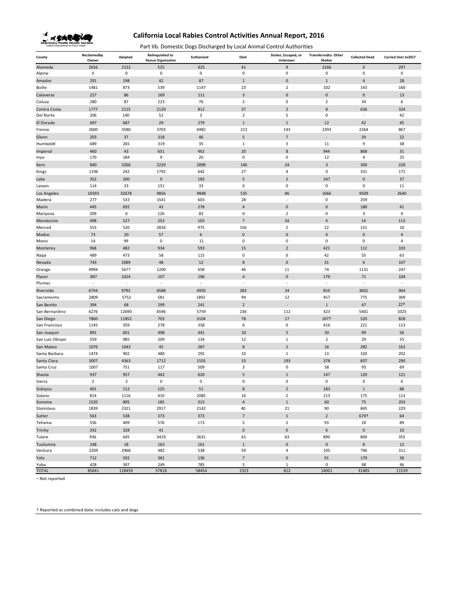

Part IIb. Domestic Dogs Discharged by Local Animal Control Authorities

| County              | Reclaimedby<br>Owner     | Adopted     | <b>Relinquished to</b><br><b>Rescue Organization</b> | Euthanized               | Died                     | Stolen, Escaped, or<br>Unknown | Transferredto Other<br>Shelter | <b>Collected Dead</b>    | Carried Over to 2017 |
|---------------------|--------------------------|-------------|------------------------------------------------------|--------------------------|--------------------------|--------------------------------|--------------------------------|--------------------------|----------------------|
| Alameda             | 2656                     | 2152        | 525                                                  | 625                      | 41                       | 9                              | 2166                           | $\bf 0$                  | 297                  |
| Alpine              | $\mathbf 0$              | $\mathbf 0$ | $\mathbf 0$                                          | $\pmb{0}$                | $\pmb{0}$                | 0                              | 0                              | 0                        | $\mathbf 0$          |
| Amador              | 291                      | 198         | 42                                                   | 87                       | $1\,$                    | $\pmb{0}$                      | $1\,$                          | $\overline{4}$           | 28                   |
| Butte               | 1481                     | 873         | 539                                                  | 1147                     | 23                       | $\overline{2}$                 | 102                            | 143                      | 160                  |
| Calaveras           | 227                      | 86          | 169                                                  | 111                      | $\overline{3}$           | $\mathbf 0$                    | $\pmb{0}$                      | $\mathbf 0$              | 13                   |
| Colusa              | 280                      | 87          | 223                                                  | 76                       | $\overline{2}$           | 0                              | $\overline{2}$                 | 34                       | 6                    |
| Contra Costa        | 1777                     | 2115        | 2129                                                 | 812                      | 37                       | $\overline{2}$                 | 8                              | 636                      | 324                  |
| Del Norte           | 206                      | 140         | 52                                                   | 3                        | $\mathbf 2$              | 5                              | $\pmb{0}$                      | $\overline{\phantom{a}}$ | 42                   |
| El Dorado           | 697                      | 687         | 29                                                   | 279                      | $\mathbf{1}$             | 1                              | 12                             | 42                       | 45                   |
| Fresno              | 2600                     | 3580        | 3703                                                 | 6982                     | 213                      | 143                            | 2393                           | 2264                     | 867                  |
| Glenn               | 203                      | 37          | 318                                                  | 46                       | 5                        | $\overline{7}$                 | ×,                             | 39                       | 22                   |
| Humboldt            | 689                      | 265         | 319                                                  | 35                       | $\mathbf{1}$             | 3                              | 11                             | 9                        | 38                   |
| Imperial            | 460                      | 43          | 651                                                  | 462                      | 20                       | 8                              | 944                            | 868                      | 31                   |
| Inyo                | 170                      | 184         | 9                                                    | 20                       | $\mathsf 0$              | 0                              | 12                             | 4                        | 25                   |
| Kern                | 840                      | 3266        | 2229                                                 | 2898                     | 146                      | 24                             | 3                              | 300                      | 228                  |
| Kings               | 1196                     | 242         | 1792                                                 | 642                      | 27                       | 4                              | $\mathsf 0$                    | 331                      | 172                  |
| Lake                | 352                      | 200         | $\pmb{0}$                                            | 183                      | 5                        | $\mathbf 2$                    | 347                            | $\mathbf 0$              | 37                   |
| Lassen              | 114                      | 33          | 151                                                  | 33                       | $\pmb{0}$                | 0                              | $\mathbf 0$                    | $\mathsf 0$              | 11                   |
| Los Angeles         | 16593                    | 32678       | 9856                                                 | 9848                     | 535                      | 86                             | 1666                           | 9509                     | 2640                 |
| Madera              | 277                      | 533         | 1541                                                 | 603                      | 28                       | ٠                              | $\mathbf 0$                    | 259                      | ٠                    |
| Marin               | 445                      | 692         | 43                                                   | 278                      | $\overline{4}$           | $\pmb{0}$                      | $\bf 0$                        | 180                      | 41                   |
| Mariposa            | 209                      | $\mathsf 0$ | 126                                                  | 83                       | $\pmb{0}$                | $\overline{2}$                 | $\mathsf 0$                    | 3                        | $\overline{4}$       |
| Mendocino           | 498                      | 527         | 253                                                  | 103                      | $\overline{7}$           | 34                             | $\sqrt{4}$                     | 14                       | 113                  |
| Merced              | 553                      | 520         | 2826                                                 | 975                      | 156                      | $\overline{2}$                 | 22                             | 131                      | 10                   |
| Modoc               | 73                       | 20          | 57                                                   | $\boldsymbol{6}$         | $\pmb{0}$                | $\mathbf 0$                    | $\pmb{0}$                      | $\pmb{0}$                | $\overline{4}$       |
| Mono                | 14                       | 99          | $\mathbf 0$                                          | 11                       | $\pmb{0}$                | 0                              | $\mathsf 0$                    | 0                        | 4                    |
| Monterey            | 968                      | 482         | 934                                                  | 593                      | 15                       | $\overline{2}$                 | 421                            | 112                      | 103                  |
| Napa                | 489                      | 473         | 58                                                   | 115                      | $\pmb{0}$                | 0                              | 42                             | 55                       | 63                   |
| Nevada              | 743                      | 1089        | 48                                                   | 12                       | $\bf 8$                  | $\pmb{0}$                      | 31                             | $\boldsymbol{6}$         | 107                  |
| Orange              | 4994                     | 5677        | 1200                                                 | 658                      | 46                       | 11                             | 74                             | 1131                     | 247                  |
| Placer              | 897                      | 1024        | 107                                                  | 196                      | $\overline{4}$           | $\bf{0}$                       | 179                            | 71                       | 104                  |
| Plumas              | $\overline{\phantom{a}}$ | $\sim$      | $\overline{\phantom{a}}$                             | $\overline{\phantom{a}}$ | $\sim$                   | $\sim$                         | $\overline{\phantom{a}}$       | $\sim$                   | $\sim$               |
| Riverside           | 6744                     | 9792        | 6588                                                 | 4950                     | 283                      | 24                             | 810                            | 3601                     | 964                  |
| Sacramento          | 2809                     | 5752        | 581                                                  | 1892                     | 94                       | 12                             | 457                            | 775                      | 309                  |
| San Benito          | 394                      | 68          | 299                                                  | 241                      | $\overline{2}$           | $\overline{\phantom{a}}$       | $\,1\,$                        | 47                       | 22 <sup>†</sup>      |
| San Bernardino      | 6276                     | 12690       | 6596                                                 | 5759                     | 236                      | 112                            | 423                            | 5401                     | 1025                 |
| San Diego           | 7860                     | 11852       | 703                                                  | 3104                     | 78                       | 17                             | 1077                           | 520                      | 828                  |
| San Francisco       | 1145                     | 359         | 278                                                  | 358                      | 6                        | 0                              | 416                            | 221                      | 113                  |
| San Joaquin         | 891                      | 601         | 498                                                  | 441                      | 10                       | 5                              | 30                             | 99                       | 56                   |
| San Luis Obispo     | 559                      | 985         | 209                                                  | 134                      | 12                       | $\,1\,$                        | $\overline{2}$                 | 29                       | 55                   |
| San Mateo           | 1076                     | 1043        | 45                                                   | 287                      | 8                        | $\overline{2}$                 | 16                             | 282                      | 163                  |
| Santa Barbara       | 1474                     | 902         | 480                                                  | 292                      | 10                       | $\mathbf{1}$                   | 13                             | 320                      | 202                  |
| Santa Clara         | 3007                     | 4363        | 1712                                                 | 1555                     | 33                       | 193                            | 378                            | 837                      | 290                  |
| Santa Cruz          | 1007                     | 751         | 117                                                  | 509                      | 3                        | 0                              | 58                             | 93                       | 69                   |
| Shasta              | 937                      | 957         | 462                                                  | 620                      | 5                        | $\mathbf{1}$                   | 147                            | 120                      | 121                  |
| Sierra              | $\overline{2}$           | $\mathsf 3$ | $\pmb{0}$                                            | $\pmb{0}$                | $\pmb{0}$                | 0                              | $\pmb{0}$                      | $\pmb{0}$                | $\mathbf 0$          |
| Siskiyou            | 401                      | 112         | 125                                                  | 51                       | 8                        | 2                              | 183                            |                          | 88                   |
| Solano              | 814                      | 1116        | 410                                                  | 2085                     | 16                       | $\overline{2}$                 | 213                            | 175                      | 113                  |
| Sonoma              | 1520                     | 895         | 185                                                  | 315                      | $\sqrt{4}$               | $1\,$                          | 60                             | 75                       | 203<br>229           |
| Stanislaus          | 1839                     | 2321        | 2917                                                 | 2142                     | 40                       | 21                             | 90                             | 845                      |                      |
| Sutter              | 563                      | 538         | 373                                                  | 373                      | $\overline{\phantom{a}}$ | $1\,$                          | $\sqrt{2}$                     | 670+                     | 64                   |
| Tehama              | 556                      | 409         | 576                                                  | 173                      | 5                        | $\overline{2}$                 | 93                             | 18                       | 89                   |
| Trinity             | 242                      | 328         | 41                                                   | $\overline{\phantom{a}}$ | $\pmb{0}$                | $\pmb{0}$                      | $\sf 6$                        | $\mathbf 0$              | $10\,$               |
| Tulare              | 936                      | 645         | 3419                                                 | 3631                     | 61                       | 63                             | 890                            | 800                      | 355                  |
| Tuolumne<br>Ventura | 248<br>2209              | 18<br>2968  | 163<br>482                                           | 161<br>538               | $\,1\,$<br>59            | $\pmb{0}$<br>4                 | $\pmb{0}$<br>105               | $\bf 8$<br>796           | 12<br>311            |
|                     | 712                      | 592         | 381                                                  | 136                      | $\overline{7}$           | $\mathbf 0$                    | 91                             |                          | 38                   |
| Yolo<br>Yuba        | 428                      | 397         | 249                                                  | 785                      | 5                        | $\mathbf{1}$                   | $\mathbf 0$                    | 179<br>98                | 46                   |
| <b>TOTAL</b>        | 85641                    | 118459      | 57818                                                | 58454                    | 2323                     | 812                            | 14001                          | 31485                    | 11539                |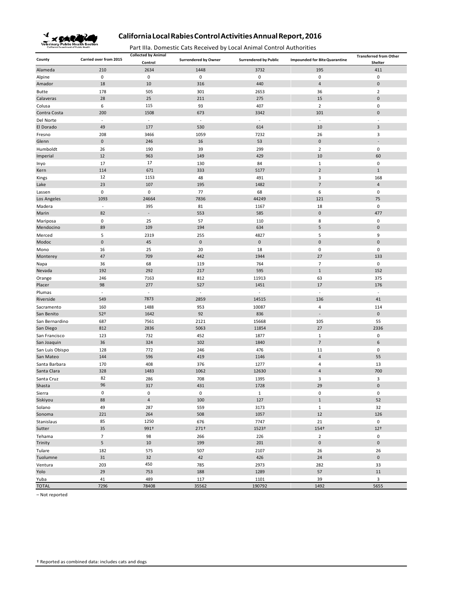

Part IIIa. Domestic Cats Received by Local Animal Control Authorities

| County          | Carried over from 2015   | <b>Collected by Animal</b><br>Control | <b>Surrendered by Owner</b> | <b>Surrendered by Public</b> | <b>Impounded for Bite Quarantine</b> | <b>Transferred from Other</b><br>Shelter |  |
|-----------------|--------------------------|---------------------------------------|-----------------------------|------------------------------|--------------------------------------|------------------------------------------|--|
| Alameda         | 210                      | 2634                                  | 1448                        | 3732                         | 195                                  | 411                                      |  |
| Alpine          | 0                        | 0                                     | 0                           | 0                            | 0                                    | 0                                        |  |
| Amador          | 18                       | 10                                    | 316                         | 440                          | $\overline{4}$                       | $\pmb{0}$                                |  |
| <b>Butte</b>    | 178                      | 505                                   | 301                         | 2653                         | 36                                   | $\overline{2}$                           |  |
| Calaveras       | 28                       | 25                                    | 211                         | 275                          | 15                                   | $\pmb{0}$                                |  |
| Colusa          | 6                        | 115                                   | 93                          | 407                          | $\overline{2}$                       | $\bf 0$                                  |  |
| Contra Costa    | 200                      | 1508                                  | 673                         | 3342                         | 101                                  | $\pmb{0}$                                |  |
| Del Norte       | $\omega$                 | $\sim$                                | $\sim$                      | $\omega$                     | $\bar{z}$                            | ÷,                                       |  |
| El Dorado       | 49                       | 177                                   | 530                         | 614                          | 10                                   | $\mathsf 3$                              |  |
| Fresno          | 208                      | 3466                                  | 1059                        | 7232                         | 26                                   | 3                                        |  |
| Glenn           | $\pmb{0}$                | 246                                   | 16                          | 53                           | $\pmb{0}$                            |                                          |  |
| Humboldt        | 26                       | 190                                   | 39                          | 299                          | $\overline{2}$                       | $\bf 0$                                  |  |
| Imperial        | 12                       | 963                                   | 149                         | 429                          | 10                                   | 60                                       |  |
| Inyo            | 17                       | 17                                    | 130                         | 84                           | $\mathbf 1$                          | $\bf 0$                                  |  |
| Kern            | 114                      | 671                                   | 333                         | 5177                         | $\overline{2}$                       | $\mathbf{1}$                             |  |
| Kings           | 12                       | 1153                                  | 48                          | 491                          | 3                                    | 168                                      |  |
| Lake            | 23                       | 107                                   | 195                         | 1482                         | $\overline{7}$                       | $\overline{4}$                           |  |
| Lassen          | 0                        | 0                                     | 77                          | 68                           | 6                                    | 0                                        |  |
| Los Angeles     | 1093                     | 24664                                 | 7836                        | 44249                        | 121                                  | 75                                       |  |
| Madera          | $\overline{\phantom{a}}$ | 395                                   | 81                          | 1167                         | 18                                   | $\mathbf 0$                              |  |
| Marin           | 82                       | ÷                                     | 553                         | 585                          | $\pmb{0}$                            | 477                                      |  |
| Mariposa        | 0                        | 25                                    | 57                          | 110                          | 8                                    | $\bf 0$                                  |  |
| Mendocino       | 89                       | 109                                   | 194                         | 634                          | 5                                    | $\bf 0$                                  |  |
| Merced          | 5                        | 2319                                  | 255                         | 4827                         | 5                                    | 9                                        |  |
| Modoc           | $\pmb{0}$                | 45                                    | $\pmb{0}$                   | $\mathsf{O}\xspace$          | $\pmb{0}$                            | $\pmb{0}$                                |  |
| Mono            | 16                       | 25                                    | 20                          | 18                           | 0                                    | 0                                        |  |
| Monterey        | 47                       | 709                                   | 442                         | 1944                         | 27                                   | 133                                      |  |
| Napa            | 36                       | 68                                    | 119                         | 764                          | $\overline{7}$                       | 0                                        |  |
| Nevada          | 192                      | 292                                   | 217                         | 595                          | $\mathbf{1}$                         | 152                                      |  |
| Orange          | 246                      | 7163                                  | 812                         | 11913                        | 63                                   | 375                                      |  |
| Placer          | 98                       | 277                                   | 527                         | 1451                         | 17                                   | 176                                      |  |
| Plumas          | $\blacksquare$           | $\overline{\phantom{a}}$              | $\omega$                    | $\blacksquare$               | $\bar{z}$                            | $\overline{\phantom{a}}$                 |  |
| Riverside       | 549                      | 7873                                  | 2859                        | 14515                        | 136                                  | 41                                       |  |
| Sacramento      | 160                      | 1488                                  | 953                         | 10087                        | 4                                    | 114                                      |  |
| San Benito      | $52+$                    | 1642                                  | 92                          | 836                          | $\blacksquare$                       | $\pmb{0}$                                |  |
| San Bernardino  | 687                      | 7561                                  | 2121                        | 15668                        | 105                                  | 55                                       |  |
| San Diego       | 812                      | 2836                                  | 5063                        | 11854                        | 27                                   | 2336                                     |  |
| San Francisco   | 123                      | 732                                   | 452                         | 1877                         | $\mathbf 1$                          | $\pmb{0}$                                |  |
| San Joaquin     | 36                       | 324                                   | 102                         | 1840                         | $\overline{7}$                       | 6                                        |  |
| San Luis Obispo | 128                      | 772                                   | 246                         | 476                          | 11                                   | $\mathbf 0$                              |  |
| San Mateo       | 144                      | 596                                   | 419                         | 1146                         | 4                                    | 55                                       |  |
| Santa Barbara   | 170                      | 408                                   | 376                         | 1277                         | 4                                    | 13                                       |  |
| Santa Clara     | 328                      | 1483                                  | 1062                        | 12630                        | 4                                    | 700                                      |  |
| Santa Cruz      | 82                       | 286                                   | 708                         | 1395                         | 3                                    | 3                                        |  |
| Shasta          | 96                       | 317                                   | 431                         | 1728                         | 29                                   | $\pmb{0}$                                |  |
| Sierra          | $\pmb{0}$                | $\pmb{0}$                             | $\pmb{0}$                   | $\mathbf 1$                  | $\pmb{0}$                            | $\pmb{0}$                                |  |
| Siskiyou        | 88                       | $\sqrt{4}$                            | 100                         | 127                          | $\mathbf{1}$                         | 52                                       |  |
| Solano          | 49                       | 287                                   | 559                         | 3173                         | $\mathbf{1}$                         | 32                                       |  |
| Sonoma          | 221                      | 264                                   | 508                         | 1057                         | 12                                   | 126                                      |  |
| Stanislaus      | 85                       | 1250                                  | 676                         | 7747                         | 21                                   | $\pmb{0}$                                |  |
| Sutter          | 35                       | 991+                                  | 271 <sup>†</sup>            | 1523+                        | 154+                                 | $12+$                                    |  |
| Tehama          | $\overline{7}$           | 98                                    | 266                         | 226                          | $\overline{2}$                       | $\pmb{0}$                                |  |
| Trinity         | 5                        | $10\,$                                | 199                         | 201                          | $\pmb{0}$                            | $\mathsf{O}\xspace$                      |  |
| Tulare          | 182                      | 575                                   | 507                         | 2107                         | 26                                   | 26                                       |  |
| Tuolumne        | 31                       | 32                                    | 42                          | 426                          | 24                                   | $\mathbf 0$                              |  |
| Ventura         | 203                      | 450                                   | 785                         | 2973                         | 282                                  | 33                                       |  |
| Yolo            | 29                       | 753                                   | 188                         | 1289                         | 57                                   | $11\,$                                   |  |
| Yuba            | 41                       | 489                                   | 117                         | 1101                         | 39                                   | 3                                        |  |
| <b>TOTAL</b>    | 7296                     | 78408                                 | 35562                       | 190792                       | 1492                                 | 5655                                     |  |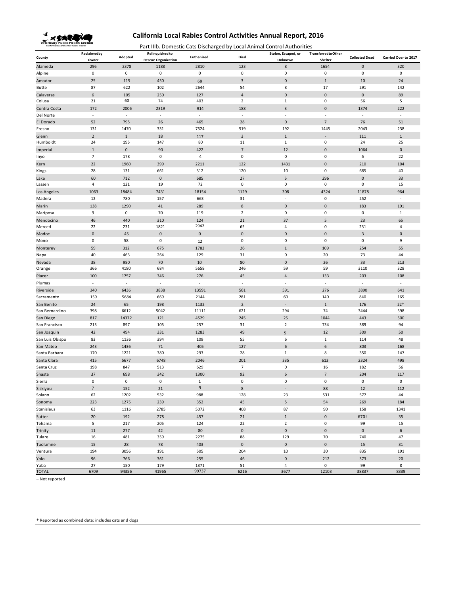

Part IIIb. Domestic Cats Discharged by Local Animal Control Authorities

|                      | Reclaimedby              |                          | <b>Relinquished to</b>     |               |                          | Stolen, Escaped, or      | <b>TransferredtoOther</b> |                          |                          |
|----------------------|--------------------------|--------------------------|----------------------------|---------------|--------------------------|--------------------------|---------------------------|--------------------------|--------------------------|
| County               | Owner                    | Adopted                  | <b>Rescue Organization</b> | Euthanized    | Died                     | Unknown                  | Shelter                   | <b>Collected Dead</b>    | Carried Over to 2017     |
| Alameda              | 296                      | 2378                     | 1188                       | 2810          | 123                      | 8                        | 1654                      | $\mathbf 0$              | 320                      |
| Alpine               | 0                        | $\pmb{0}$                | $\mathsf 0$                | $\mathsf 0$   | $\mathbf 0$              | $\pmb{0}$                | $\mathbf 0$               | $\mathbf 0$              | $\pmb{0}$                |
| Amador               | 25                       | 115                      | 450                        | 68            | $\overline{3}$           | $\mathbf 0$              | $\mathbf 1$               | 10                       | 24                       |
| Butte                | 87                       | 622                      | 102                        | 2644          | 54                       | 8                        | 17                        | 291                      | 142                      |
| Calaveras            | $\boldsymbol{6}$         | 105                      | 250                        | 127           | $\overline{4}$           | $\mathbf 0$              | $\mathbf{0}$              | $\mathbf 0$              | 89                       |
| Colusa               | 21                       | 60                       | 74                         | 403           | $\overline{2}$           | $\mathbf{1}$             | $\mathbf 0$               | 56                       | 5                        |
| Contra Costa         | 172                      | 2006                     | 2319                       | 914           | 188                      | $\overline{3}$           | $\pmb{0}$                 | 1374                     | 222                      |
| Del Norte            | ×.                       | ×.                       | ×                          | $\sim$        | ×,                       | $\overline{\phantom{a}}$ | $\overline{\phantom{a}}$  | ÷,                       | $\sim$                   |
| El Dorado            | 52                       | 795                      | 26                         | 465           | 28                       | $\mathbf 0$              | $\overline{7}$            | 76                       | 51                       |
| Fresno               | 131                      | 1470                     | 331                        | 7524          | 519                      | 192                      | 1445                      | 2043                     | 238                      |
| Glenn                | $\overline{2}$           | $1\,$                    | 18                         | 117           | 3                        | $1\,$                    |                           | 111                      | $1\,$                    |
| Humboldt             | 24                       | 195                      | 147                        | 80            | 11                       | $\,1\,$                  | $\mathbf 0$               | 24                       | 25                       |
| Imperial             | $\mathbf{1}$             | $\bf 0$                  | 90                         | 422           | $\overline{7}$           | 12                       | $\pmb{0}$                 | 1064                     | $\pmb{0}$                |
| Inyo                 | $\overline{7}$           | 178                      | $\mathsf 0$                | 4             | $\mathbf 0$              | $\mathbf 0$              | 0                         | 5                        | 22                       |
| Kern                 | 22                       | 1960                     | 399                        | 2211          | 122                      | 1431                     | $\pmb{0}$                 | 210                      | 104                      |
| Kings                | 28                       | 131                      | 661                        | 312           | 120                      | 10                       | $\mathbf 0$               | 685                      | 40                       |
| Lake                 | 60                       | 712                      | $\mathbf 0$                | 685           | 27                       | 5                        | 296                       | $\mathbf 0$              | 33                       |
| Lassen               | 4                        | 121                      | 19                         | 72            | $\mathbf 0$              | $\pmb{0}$                | $\mathsf 0$               | $\mathbf 0$              | 15                       |
| Los Angeles          | 1063                     | 18484                    | 7431                       | 18154         | 1129                     | 308                      | 4324                      | 11878                    | 964                      |
| Madera               | 12                       | 780                      | 157                        | 663           | 31                       | ×.                       | $\mathbf 0$               | 252                      | ×                        |
|                      |                          |                          |                            |               |                          | $\mathbf 0$              |                           |                          | 101                      |
| Marin                | 138                      | 1290                     | 41                         | 289           | $\bf 8$                  |                          | $\pmb{0}$                 | 183                      |                          |
| Mariposa             | 9                        | $\pmb{0}$                | 70                         | 119           | $\overline{2}$           | $\pmb{0}$                | $\pmb{0}$                 | $\mathbf 0$              | $\,1\,$                  |
| Mendocino            | 46                       | 440                      | 310                        | 124<br>2942   | 21                       | 37                       | 5                         | 23                       | 65                       |
| Merced               | 22                       | 231                      | 1821                       |               | 65                       | 4                        | 0                         | 231                      | $\overline{4}$           |
| Modoc                | $\mathbf 0$              | 45                       | $\mathbf 0$                | $\mathbf 0$   | $\pmb{0}$                | $\mathbf 0$              | $\pmb{0}$                 | $\overline{3}$           | $\pmb{0}$                |
| Mono                 | $\pmb{0}$                | 58                       | $\mathsf 0$                | 12            | $\mathbf 0$              | $\pmb{0}$                | $\mathbf 0$               | $\pmb{0}$                | 9                        |
| Monterey             | 59                       | 312                      | 675                        | 1782          | 26                       | $1\,$                    | 109                       | 254                      | 55                       |
| Napa                 | 40                       | 463                      | 264                        | 129           | 31                       | $\pmb{0}$                | 20                        | 73                       | 44                       |
| Nevada               | 38                       | 980                      | 70                         | 10            | 80                       | $\mathbf 0$              | 26                        | 33                       | 213                      |
| Orange               | 366                      | 4180                     | 684                        | 5658          | 246                      | 59                       | 59                        | 3110                     | 328                      |
| Placer               | 100                      | 1757                     | 346                        | 276           | 45                       | $\overline{a}$           | 133                       | 203                      | 108                      |
| Plumas               | $\overline{\phantom{a}}$ | $\overline{\phantom{a}}$ | ä,                         | ×,            | $\overline{\phantom{a}}$ | $\overline{\phantom{a}}$ | $\overline{\phantom{a}}$  | $\overline{\phantom{a}}$ | $\overline{\phantom{a}}$ |
| Riverside            | 340                      | 6436                     | 3838                       | 13591         | 561                      | 591                      | 276                       | 3890                     | 641                      |
| Sacramento           | 159                      | 5684                     | 669                        | 2144          | 281                      | 60                       | 140                       | 840                      | 165                      |
| San Benito           | 24                       | 65                       | 198                        | 1132          | $\overline{2}$           |                          | $\mathbf{1}$              | 176                      | 22 <sup>†</sup>          |
| San Bernardino       | 398                      | 6612                     | 5042                       | 11111         | 621                      | 294                      | 74                        | 3444                     | 598                      |
| San Diego            | 817                      | 14372                    | 121                        | 4529          | 245                      | 25                       | 1044                      | 443                      | 500                      |
| San Francisco        | 213                      | 897                      | 105                        | 257           | 31                       | $\mathbf 2$              | 734                       | 389                      | 94                       |
| San Joaquin          | 42                       | 494                      | 331                        | 1283          | 49                       | 5                        | 12                        | 309                      | 50                       |
| San Luis Obispo      | 83                       | 1136                     | 394                        | 109           | 55                       | 6                        | $\mathbf{1}$              | 114                      | 48                       |
| San Mateo            | 243                      | 1436                     | 71                         | 405           | 127                      | $\boldsymbol{6}$         | $\boldsymbol{6}$          | 803                      | 168                      |
| Santa Barbara        | 170                      | 1221                     | 380                        | 293           | 28                       | 1                        | 8                         | 350                      | 147                      |
| Santa Clara          | 415                      | 5677                     | 6748                       | 2046          | 201                      | 335                      | 613                       | 2324                     | 498                      |
| Santa Cruz           | 198                      | 847                      | 513                        | 629           | $\overline{7}$           | $\pmb{0}$                | 16                        | 182                      | 56                       |
| Shasta               | 37                       | 698                      | 342                        | 1300          | 92                       | $\boldsymbol{6}$         | $\overline{7}$            | 204                      | 117                      |
| Sierra               | $\pmb{0}$                | $\pmb{0}$                | $\pmb{0}$                  | $\mathbf{1}$  | $\pmb{0}$                | $\mathbf 0$              | 0                         | $\mathbf 0$              | $\pmb{0}$                |
| Siskiyou             | $\overline{7}$           | 152                      | 21                         | 9             |                          |                          | 88                        | 12                       | 112                      |
| Solano               | 62                       | 1202                     | 532                        | 988           | 128                      | 23                       | 531                       | 577                      | 44                       |
| Sonoma               | 223                      | 1275                     | 239                        | 352           | 45                       | 5                        | 54                        | 269                      | 184                      |
| Stanislaus           | 63                       | 1116                     | 2785                       | 5072          | 408                      | 87                       | 90                        | 158                      | 1341                     |
| Sutter               | 20                       | 192                      | 278                        | 457           | $21\,$                   | $\,1\,$                  | $\mathbf 0$               | 670 <sup>+</sup>         | 35                       |
| Tehama               | 5                        | 217                      | 205                        | 124           | 22                       | $\mathbf 2$              | $\mathbf 0$               | 99                       | 15                       |
|                      | 11                       | 277                      | 42                         | 80            | $\pmb{0}$                | $\pmb{0}$                | $\mathbf 0$               | $\mathbf 0$              | $\boldsymbol{6}$         |
| Trinity<br>Tulare    | 16                       | 481                      | 359                        | 2275          | 88                       | 129                      | 70                        | 740                      | 47                       |
| Tuolumne             |                          |                          |                            |               | $\mathsf{O}\xspace$      | $\pmb{0}$                | $\mathbf 0$               |                          |                          |
|                      | 15                       | 28                       | 78                         | 403           |                          |                          |                           | 15                       | 31                       |
| Ventura              | 194                      | 3056                     | 191                        | 505           | 204                      | 10                       | $30\,$                    | 835                      | 191                      |
| Yolo                 | 96                       | 766                      | 361                        | 255           | 46                       | $\pmb{0}$                | 212                       | 373                      | 20                       |
| Yuba<br><b>TOTAL</b> | 27<br>6709               | 150<br>94356             | 179<br>41965               | 1371<br>99737 | 51<br>6216               | $\overline{4}$<br>3677   | $\mathsf 0$<br>12103      | 99<br>38837              | 8<br>8339                |
|                      |                          |                          |                            |               |                          |                          |                           |                          |                          |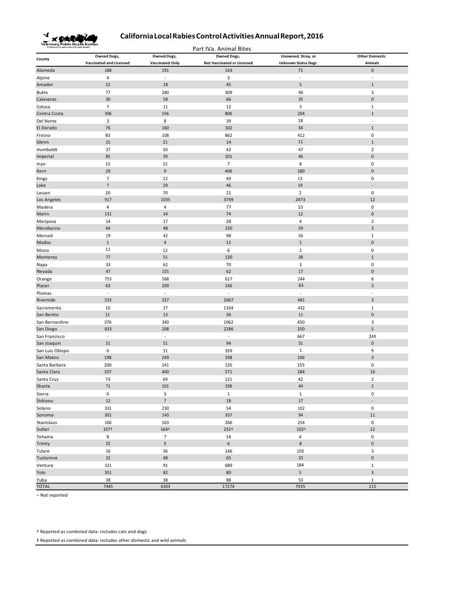

Part IVa. Animal Bites

|                 | <b>Owned Dogs,</b>             | <b>Owned Dogs,</b>       | <b>Owned Dogs,</b>                | Unowned, Stray, or         | <b>Other Domestic</b>   |
|-----------------|--------------------------------|--------------------------|-----------------------------------|----------------------------|-------------------------|
| County          | <b>Vaccinated and Licensed</b> | <b>Vaccinated Only</b>   | <b>Not Vaccinated or Licensed</b> | <b>Unknown Status Dogs</b> | <b>Animals</b>          |
| Alameda         | 188                            | 191                      | 143                               | 71                         | $\pmb{0}$               |
| Alpine          | $\overline{4}$                 | $\overline{\phantom{a}}$ | 3                                 | ÷,                         | $\overline{a}$          |
| Amador          | 22                             | 18                       | 45                                | 5                          | $\,1\,$                 |
| Butte           | 77                             | 280                      | 309                               | 90                         | $\overline{\mathbf{3}}$ |
| Calaveras       | 30                             | 58                       | 66                                | 35                         | $\pmb{0}$               |
| Colusa          | $\overline{7}$                 | 11                       | 12                                | 3                          | $1\,$                   |
| Contra Costa    | 306                            | 156                      | 806                               | 204                        | $1\,$                   |
| Del Norte       | $\overline{3}$                 | 8                        | 39                                | 18                         | ÷,                      |
| El Dorado       | 76                             | 160                      | 102                               | 34                         | $\,1\,$                 |
| Fresno          | 83                             | 108                      | 862                               | 412                        | $\pmb{0}$               |
| Glenn           | 15                             | 21                       | 14                                | $11\,$                     | $\mathbf 1$             |
| Humboldt        | 37                             | 50                       | 42                                | 47                         | $\overline{2}$          |
| Imperial        | 85                             | 39                       | 101                               | 46                         | $\pmb{0}$               |
| Inyo            | 15                             | 22                       | $\overline{7}$                    | $\,$ 8 $\,$                | $\pmb{0}$               |
| Kern            | 29                             | 9                        | 406                               | 180                        | $\pmb{0}$               |
| Kings           | $\overline{7}$                 | 22                       | 49                                | 13                         | $\pmb{0}$               |
| Lake            | $\overline{7}$                 | 29                       | 46                                | 19                         | ÷,                      |
| Lassen          | 20                             | 70                       | 21                                | $\overline{2}$             | $\pmb{0}$               |
| Los Angeles     | 917                            | 1035                     | 3749                              | 2473                       | 12                      |
| Madera          | $\overline{a}$                 | $\overline{4}$           | 77                                | 53                         | $\pmb{0}$               |
| Marin           | 131                            | 34                       | 74                                | 12                         | $\pmb{0}$               |
| Mariposa        | 14                             | 17                       | 28                                | 4                          | $\mathbf 2$             |
| Mendocino       | 64                             | 48                       | 150                               | 59                         | $\overline{3}$          |
| Merced          | 19                             | 42                       | 98                                | 56                         | $\,1\,$                 |
| Modoc           | $\,1\,$                        | $\sqrt{4}$               | 11                                | $\mathbf 1$                | $\pmb{0}$               |
| Mono            | 11                             | 12                       | 6                                 | $\overline{2}$             | $\pmb{0}$               |
| Monterey        | 77                             | 51                       | 130                               | 38                         | $\mathbf 1$             |
| Napa            | 33                             | 62                       | 70                                | 3                          | $\pmb{0}$               |
| Nevada          | 47                             | 155                      | 62                                | 17                         | $\pmb{0}$               |
| Orange          | 753                            | 568                      | 617                               | 244                        | 8                       |
| Placer          | 63                             | 209                      | 146                               | 63                         | $\mathsf 3$             |
| Plumas          | $\Box$                         | $\sim$                   | $\overline{\phantom{a}}$          | $\Box$                     | ä,                      |
| Riverside       | 533                            | 327                      | 1067                              | 481                        | $\mathsf 3$             |
| Sacramento      | 10                             | 27                       | 1104                              | 432                        | $\,1\,$                 |
| San Benito      | 11                             | 13                       | 26                                | 11                         | $\pmb{0}$               |
| San Bernardino  | 376                            | 340                      | 1062                              | 450                        | $\overline{3}$          |
| San Diego       | 833                            | 208                      | 2286                              | 250                        | 5                       |
| San Francisco   | $\overline{\phantom{a}}$       | $\overline{\phantom{a}}$ | $\overline{\phantom{a}}$          | 667                        | 24 <sup>‡</sup>         |
| San Joaquin     | 51                             | 51                       | 94                                | 31                         | $\pmb{0}$               |
| San Luis Obispo | 6                              | 31                       | 359                               | $\mathbf{1}$               | 9                       |
| San Mateo       | 198                            | 249                      | 198                               | 106                        | $\mathsf 3$             |
| Santa Barbara   | 200                            | 141                      | 135                               | 155                        | 0                       |
| Santa Clara     | 337                            | 400                      | 571                               | 184                        | 16                      |
| Santa Cruz      | 73                             | 69                       | 121                               | 42                         | $\overline{2}$          |
| Shasta          | 71                             | 101                      | 196                               | 44                         | $\overline{2}$          |
| Sierra          | $\mathbf 0$                    | $\overline{\mathbf{3}}$  | $\mathbf{1}$                      | $\mathbf{1}$               | $\pmb{0}$               |
| Siskiyou        | 12                             | $\overline{\phantom{a}}$ | 18                                | $17$                       | $\frac{1}{2}$           |
| Solano          | 331                            | 230                      | 54                                | 102                        | $\mathbf 0$             |
| Sonoma          | 301                            | 143                      | 337                               | 94                         | 11                      |
| Stanislaus      | 166                            | 163                      | 266                               | 254                        | $\pmb{0}$               |
| Sutter          | $107+$                         | 164+                     | 232+                              | $102 +$                    | 12                      |
| Tehama          | 8                              | $\overline{7}$           | 14                                | $\overline{4}$             | $\mathbf 0$             |
| Trinity         | 25                             | 5                        | $\,$ 6 $\,$                       | $\bf 8$                    | $\pmb{0}$               |
| Tulare          | 16                             | 36                       | 146                               | 103                        | 3                       |
| Tuolumne        | 32                             | 48                       | 65                                | 33                         | $\pmb{0}$               |
| Ventura         | 321                            | 91                       | 689                               | 184                        | $\,1\,$                 |
| Yolo            | 351                            | 82                       | $80\,$                            | 5                          | $\mathsf 3$             |
| Yuba            | 38                             | 38                       | 88                                | 53                         | $\,1\,$                 |
| <b>TOTAL</b>    | 7445                           | 6303                     | 17274                             | 7935                       | 115                     |

– Not reported

† Reported as combined data: includes cats and dogs

‡ Reported as combined data: includes other domestic and wild animals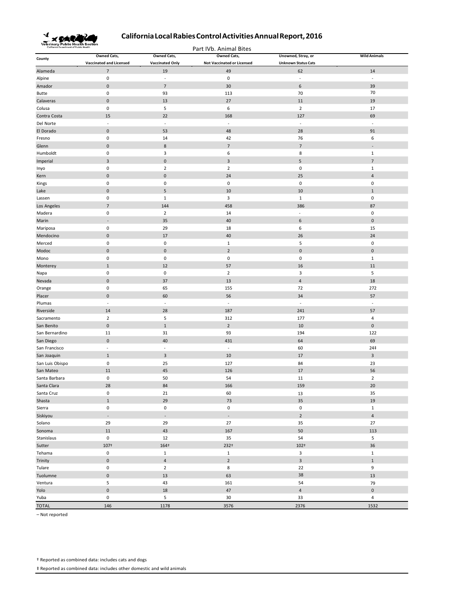

Part IVb. Animal Bites

| County          | <b>Owned Cats,</b>             | <b>Owned Cats,</b>       | <b>Owned Cats,</b>                | Unowned, Stray, or         | <b>Wild Animals</b>      |
|-----------------|--------------------------------|--------------------------|-----------------------------------|----------------------------|--------------------------|
|                 | <b>Vaccinated and Licensed</b> | <b>Vaccinated Only</b>   | <b>Not Vaccinated or Licensed</b> | <b>Unknown Status Cats</b> |                          |
| Alameda         | $\overline{7}$                 | 19                       | 49                                | 62                         | 14                       |
| Alpine          | $\pmb{0}$                      | $\blacksquare$           | $\pmb{0}$                         | $\overline{\phantom{a}}$   | $\overline{\phantom{a}}$ |
| Amador          | $\pmb{0}$                      | $\overline{7}$           | 30                                | $\,$ 6 $\,$                | 39                       |
| Butte           | $\pmb{0}$                      | 93                       | 113                               | 70                         | 70                       |
| Calaveras       | $\pmb{0}$                      | $13\,$                   | 27                                | 11                         | 19                       |
| Colusa          | $\pmb{0}$                      | 5                        | 6                                 | $\overline{2}$             | 17                       |
| Contra Costa    | 15                             | 22                       | 168                               | 127                        | 69                       |
| Del Norte       | $\blacksquare$                 | $\overline{\phantom{a}}$ | $\overline{\phantom{a}}$          | $\overline{\phantom{a}}$   | L.                       |
| El Dorado       | $\pmb{0}$                      | 53                       | 48                                | 28                         | 91                       |
| Fresno          | $\pmb{0}$                      | 14                       | 42                                | 76                         | 6                        |
| Glenn           | $\pmb{0}$                      | $\bf 8$                  | $\overline{7}$                    | $\overline{7}$             |                          |
| Humboldt        | $\pmb{0}$                      | $\overline{\mathbf{3}}$  | 6                                 | 8                          | $\,1\,$                  |
| Imperial        | $\mathsf 3$                    | $\pmb{0}$                | $\overline{3}$                    | $\sqrt{5}$                 | $\overline{7}$           |
| Inyo            | $\pmb{0}$                      | $\overline{2}$           | $\overline{2}$                    | $\pmb{0}$                  | $1\,$                    |
| Kern            | $\pmb{0}$                      | $\pmb{0}$                | 24                                | 25                         | $\overline{4}$           |
| Kings           | $\pmb{0}$                      | $\pmb{0}$                | $\pmb{0}$                         | $\pmb{0}$                  | $\pmb{0}$                |
| Lake            | $\pmb{0}$                      | 5                        | 10                                | 10                         | $\mathbf{1}$             |
| Lassen          | $\pmb{0}$                      | $\mathbf{1}$             | 3                                 | $\mathbf{1}$               | $\pmb{0}$                |
| Los Angeles     | $\overline{7}$                 | 144                      | 458                               | 386                        | 87                       |
| Madera          | $\mathbf 0$                    | $\overline{2}$           | 14                                | ÷,                         | $\pmb{0}$                |
| Marin           | $\overline{\phantom{a}}$       | 35                       | 40                                | 6                          | $\pmb{0}$                |
| Mariposa        | $\mathbf 0$                    | 29                       | 18                                | 6                          | 15                       |
| Mendocino       | $\pmb{0}$                      | 17                       | 40                                | 26                         | 24                       |
| Merced          | $\pmb{0}$                      | $\pmb{0}$                | $\mathbf 1$                       | 5                          | $\pmb{0}$                |
|                 |                                |                          |                                   |                            |                          |
| Modoc           | $\pmb{0}$<br>$\pmb{0}$         | $\pmb{0}$<br>$\pmb{0}$   | $\overline{2}$<br>$\pmb{0}$       | $\pmb{0}$                  | $\pmb{0}$                |
| Mono            |                                |                          |                                   | $\pmb{0}$                  | $1\,$                    |
| Monterey        | $\,1\,$                        | 12                       | 57                                | 16                         | 11                       |
| Napa            | $\pmb{0}$                      | $\pmb{0}$                | $\overline{2}$                    | $\overline{3}$             | 5                        |
| Nevada          | $\pmb{0}$                      | 37                       | 13                                | $\overline{4}$             | 18                       |
| Orange          | $\pmb{0}$                      | 65                       | 155                               | 72                         | 272                      |
| Placer          | $\pmb{0}$                      | 60                       | 56                                | 34                         | 57                       |
| Plumas          | $\blacksquare$                 | ÷,                       | $\overline{\phantom{a}}$          | $\blacksquare$             | $\overline{\phantom{a}}$ |
| Riverside       | 14                             | 28                       | 187                               | 241                        | 57                       |
| Sacramento      | $\overline{2}$                 | 5                        | 312                               | 177                        | $\overline{4}$           |
| San Benito      | $\pmb{0}$                      | $\mathbf 1$              | $\overline{2}$                    | 10                         | $\pmb{0}$                |
| San Bernardino  | 11                             | 31                       | 93                                | 194                        | 122                      |
| San Diego       | $\pmb{0}$                      | 40                       | 431                               | 64                         | 69                       |
| San Francisco   | ÷,                             | $\sim$                   | $\sim$                            | 60                         | 24‡                      |
| San Joaquin     | $\mathbf{1}$                   | $\mathbf{3}$             | 10                                | 17                         | $\overline{\mathbf{3}}$  |
| San Luis Obispo | $\mathbf 0$                    | 25                       | 127                               | 84                         | 23                       |
| San Mateo       | 11                             | 45                       | 126                               | $17\,$                     | 56                       |
| Santa Barbara   | $\mathbf 0$                    | 50                       | 54                                | 11                         | $\overline{2}$           |
| Santa Clara     | 28                             | 84                       | 166                               | 159                        | 20                       |
| Santa Cruz      | $\mathbf 0$                    | 21                       | 60                                | 13                         | 35                       |
| Shasta          | $\,1\,$                        | 29                       | 73                                | 35                         | 19                       |
| Sierra          | $\pmb{0}$                      | $\pmb{0}$                | $\pmb{0}$                         | $\pmb{0}$                  | $\mathbf 1$              |
| Siskiyou        | $\overline{\phantom{a}}$       | $\overline{\phantom{a}}$ | $\overline{\phantom{a}}$          | $\overline{2}$             | $\sqrt{4}$               |
| Solano          | 29                             | 29                       | 27                                | 35                         | 27                       |
| Sonoma          | $11\,$                         | 43                       | 167                               | 50                         | 113                      |
| Stanislaus      | $\pmb{0}$                      | 12                       | 35                                | 54                         | 5                        |
| Sutter          | 107+                           | 164+                     | 232+                              | $102+$                     | 36                       |
| Tehama          | $\pmb{0}$                      | $\mathbf 1$              | $\mathbf 1$                       | $\overline{\mathbf{3}}$    | $\mathbf 1$              |
| Trinity         | $\mathbf 0$                    | $\overline{4}$           | $\overline{2}$                    | $\overline{3}$             | $\,1\,$                  |
| Tulare          | $\pmb{0}$                      | $\overline{2}$           | 8                                 | 22                         | 9                        |
| Tuolumne        | $\pmb{0}$                      | 13                       | 63                                | 38                         | 13                       |
| Ventura         | 5                              | 43                       | 161                               | 54                         | 79                       |
| Yolo            | $\pmb{0}$                      | 18                       | 47                                | $\overline{4}$             | $\pmb{0}$                |
| Yuba            | $\pmb{0}$                      | 5                        | $30\,$                            | 33                         | $\sqrt{4}$               |
| <b>TOTAL</b>    | 146                            | 1178                     | 3576                              | 2376                       | 1532                     |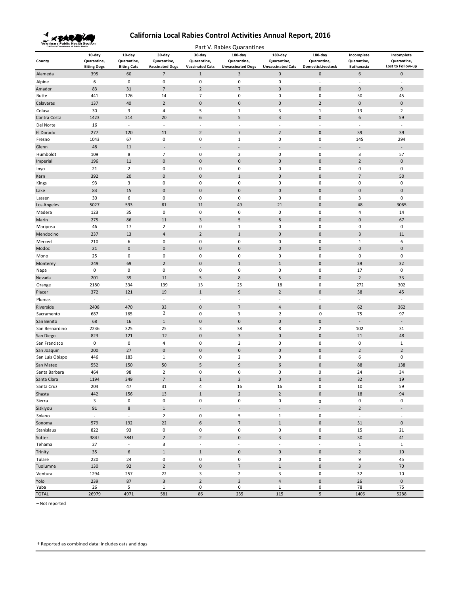

| Veterinary Public Health Section<br>Part V. Rabies Quarantines |                                             |                                             |                                                 |                                                 |                                                    |                                                       |                                                     |                                         |                                                |
|----------------------------------------------------------------|---------------------------------------------|---------------------------------------------|-------------------------------------------------|-------------------------------------------------|----------------------------------------------------|-------------------------------------------------------|-----------------------------------------------------|-----------------------------------------|------------------------------------------------|
| County                                                         | 10-day<br>Quarantine,<br><b>Biting Dogs</b> | 10-day<br>Quarantine,<br><b>Biting Cats</b> | 30-day<br>Quarantine,<br><b>Vaccinated Dogs</b> | 30-day<br>Quarantine,<br><b>Vaccinated Cats</b> | 180-day<br>Quarantine,<br><b>Unvaccinated Dogs</b> | $180$ -day<br>Quarantine,<br><b>Unvaccinated Cats</b> | 180-day<br>Quarantine,<br><b>Domestic Livestock</b> | Incomplete<br>Quarantine,<br>Euthanasia | Incomplete<br>Quarantine,<br>Lost to Follow-up |
| Alameda                                                        | 395                                         | 60                                          | $\overline{7}$                                  | $\mathbf{1}$                                    | 3                                                  | $\mathbf 0$                                           | $\mathbf 0$                                         | 6                                       | $\mathbf 0$                                    |
| Alpine                                                         | 6                                           | $\pmb{0}$                                   | $\mathbf 0$                                     | $\mathbf 0$                                     | 0                                                  | $\mathbf 0$                                           | $\omega$                                            | ÷,                                      | $\overline{\phantom{a}}$                       |
| Amador                                                         | 83                                          | 31                                          | $\overline{7}$                                  | $\overline{2}$                                  | $\overline{7}$                                     | $\mathbf{0}$                                          | $\pmb{0}$                                           | 9                                       | 9                                              |
| <b>Butte</b>                                                   | 441                                         | 176                                         | 14                                              | $\overline{7}$                                  | 0                                                  | 0                                                     | $\bf 0$                                             | 50                                      | 45                                             |
| Calaveras                                                      | 137                                         | 40                                          | $\overline{2}$                                  | $\mathbf{0}$                                    | $\mathbf 0$                                        | $\mathbf{0}$                                          | $\overline{2}$                                      | $\mathbf 0$                             | $\pmb{0}$                                      |
| Colusa                                                         | 30                                          | 3                                           | 4                                               | 5                                               | $1\,$                                              | 3                                                     | $\mathbf{1}$                                        | 13                                      | $\overline{2}$                                 |
| Contra Costa                                                   | 1423                                        | 214                                         | 20                                              | 6                                               | 5                                                  | $\overline{3}$                                        | $\pmb{0}$                                           | 6                                       | 59                                             |
| Del Norte                                                      | 16                                          | $\overline{\phantom{a}}$                    | $\overline{\phantom{a}}$                        | $\sim$                                          | $\overline{\phantom{a}}$                           | $\overline{\phantom{a}}$                              | $\sim$                                              | $\blacksquare$                          | $\sim$                                         |
| El Dorado                                                      | 277                                         | 120                                         | 11                                              | $\overline{2}$                                  | 7                                                  | $\overline{2}$                                        | $\mathbf 0$                                         | 39                                      | 39                                             |
| Fresno                                                         | 1043                                        | 67                                          | 0                                               | 0                                               | $\mathbf{1}$                                       | $\bf 0$                                               | 0                                                   | 145                                     | 294                                            |
| Glenn                                                          | 48                                          | 11                                          | $\overline{a}$                                  |                                                 | $\blacksquare$                                     | $\overline{a}$                                        | $\overline{a}$                                      | $\overline{\phantom{a}}$                | $\sim$                                         |
| Humboldt                                                       | 109                                         | 8                                           | $\overline{7}$                                  | $\mathbf 0$                                     | $\overline{2}$                                     | $\bf 0$                                               | $\bf 0$                                             | $\overline{3}$                          | 57                                             |
| Imperial                                                       | 196                                         | 11                                          | $\pmb{0}$                                       | $\mathbf{0}$                                    | $\pmb{0}$                                          | $\pmb{0}$                                             | $\pmb{0}$                                           | $\overline{2}$                          | $\pmb{0}$                                      |
| Inyo                                                           | 21                                          | $\overline{2}$                              | 0                                               | 0                                               | 0                                                  | 0                                                     | 0                                                   | $\mathbf 0$                             | 0                                              |
| Kern                                                           | 392                                         | 20                                          | $\bf{0}$                                        | $\mathbf{0}$                                    | $\mathbf{1}$                                       | $\mathbf{0}$                                          | $\pmb{0}$                                           | $\overline{7}$                          | 50                                             |
| Kings                                                          | 93                                          | 3                                           | $\pmb{0}$                                       | $\mathbf 0$                                     | $\pmb{0}$                                          | $\bf 0$                                               | $\bf 0$                                             | $\pmb{0}$                               | $\pmb{0}$                                      |
| Lake                                                           | 83                                          | 15                                          | $\pmb{0}$                                       | $\mathbf{0}$                                    | $\mathbf 0$                                        | $\bf 0$                                               | $\pmb{0}$                                           | $\pmb{0}$                               | $\pmb{0}$                                      |
| Lassen                                                         | 30                                          | 6                                           | 0                                               | $\mathbf 0$                                     | 0                                                  | $\bf 0$                                               | $\bf 0$                                             | $\overline{3}$                          | $\mathbf 0$                                    |
| Los Angeles                                                    | 5027                                        | 593                                         | 81                                              | 11                                              | 49                                                 | 21                                                    | $\pmb{0}$                                           | 48                                      | 3065                                           |
| Madera                                                         | 123                                         | 35                                          | 0                                               | $\mathbf 0$                                     | 0                                                  | $\mathbf 0$                                           | $\bf 0$                                             | $\overline{4}$                          | 14                                             |
| Marin                                                          | 275                                         | 86                                          | 11                                              | 3                                               | 5                                                  | 8                                                     | $\mathbf 0$                                         | $\mathbf 0$                             | 67                                             |
| Mariposa                                                       | 46                                          | 17                                          | $\overline{2}$                                  | 0                                               | $1\,$                                              | 0                                                     | 0                                                   | 0                                       | $\pmb{0}$                                      |
| Mendocino                                                      | 237                                         | 13                                          | $\overline{4}$                                  | $\overline{2}$                                  | $\mathbf 1$                                        | $\pmb{0}$                                             | $\pmb{0}$                                           | $\overline{\mathbf{3}}$                 | 11                                             |
| Merced                                                         | 210                                         | 6                                           | 0                                               | $\pmb{0}$                                       | $\pmb{0}$                                          | $\pmb{0}$                                             | $\bf 0$                                             | $\mathbf{1}$                            | 6                                              |
| Modoc                                                          | 21                                          | $\mathbf 0$                                 | $\mathbf 0$                                     | $\pmb{0}$                                       | $\mathbf 0$                                        | $\pmb{0}$                                             | $\pmb{0}$                                           | $\pmb{0}$                               | $\mathbf 0$                                    |
| Mono                                                           | 25                                          | 0                                           | 0                                               | 0                                               | 0                                                  | 0                                                     | 0                                                   | 0                                       | $\mathbf 0$                                    |
| Monterey                                                       | 249                                         | 69                                          | $\overline{2}$                                  | $\mathbf{0}$                                    | $\mathbf{1}$                                       | $1\,$                                                 | $\pmb{0}$                                           | 29                                      | 32                                             |
| Napa                                                           | $\pmb{0}$                                   | 0                                           | 0                                               | $\mathbf 0$                                     | 0                                                  | $\mathbf 0$                                           | 0                                                   | 17                                      | $\mathbf 0$                                    |
| Nevada                                                         | 201                                         | 39                                          | 11                                              | 5                                               | 8                                                  | 5                                                     | $\pmb{0}$                                           | $\mathbf 2$                             | 33                                             |
| Orange                                                         | 2180                                        | 334                                         | 139                                             | 13                                              | 25                                                 | 18                                                    | $\bf 0$                                             | 272                                     | 302                                            |
| Placer                                                         | 372                                         | 121                                         | 19                                              | $1\,$                                           | $9\,$                                              | $\overline{2}$                                        | $\pmb{0}$                                           | 58                                      | 45                                             |
| Plumas                                                         | $\overline{\phantom{a}}$                    | $\overline{\phantom{a}}$                    | $\overline{\phantom{a}}$                        | $\sim$                                          | $\sim$                                             | $\sim$                                                | ÷,                                                  | $\overline{\phantom{a}}$                | $\overline{\phantom{a}}$                       |
| Riverside                                                      | 2408                                        | 470                                         | 33                                              | $\mathbf{0}$                                    | $\overline{7}$                                     | $\overline{4}$                                        | $\pmb{0}$                                           | 62                                      | 362                                            |
| Sacramento                                                     | 687                                         | 165                                         | $\overline{2}$                                  | $\mathbf 0$                                     | 3                                                  | $\overline{2}$                                        | 0                                                   | 75                                      | 97                                             |
| San Benito                                                     | 68                                          | 16                                          | $\mathbf{1}$                                    | $\pmb{0}$                                       | $\pmb{0}$                                          | $\bf 0$                                               | $\mathbf 0$                                         | $\overline{\phantom{a}}$                | $\overline{\phantom{a}}$                       |
| San Bernardino                                                 | 2236                                        | 325                                         | 25                                              | 3                                               | 38                                                 | 8                                                     | $\overline{2}$                                      | 102                                     | 31                                             |
| San Diego                                                      | 823                                         | 121                                         | 12                                              | $\mathbf{0}$                                    | $\overline{3}$                                     | $\mathbf 0$                                           | $\pmb{0}$                                           | 21                                      | 48                                             |
| San Francisco                                                  | $\pmb{0}$                                   | $\pmb{0}$                                   | 4                                               | $\mathbf 0$                                     | $\overline{2}$                                     | $\mathbf 0$                                           | $\bf 0$                                             | $\pmb{0}$                               | $\,1\,$                                        |
| San Joaquin                                                    | 200                                         | 27                                          | $\bf{0}$                                        | $\mathbf{0}$                                    | $\mathbf 0$                                        | $\mathbf{0}$                                          | $\pmb{0}$                                           | $\mathbf 2$                             | $\mathbf 2$                                    |
| San Luis Obispo                                                | 446                                         | 183                                         | 1                                               | 0                                               | $\overline{2}$                                     | 0                                                     | 0                                                   | 6                                       | $\mathbf 0$                                    |
| San Mateo                                                      | 552                                         | 150                                         | 50                                              | 5                                               | 9                                                  | 6                                                     | $\pmb{0}$                                           | 88                                      | 138                                            |
| Santa Barbara                                                  | 464                                         | 98                                          | $\overline{2}$<br>$\overline{7}$                | $\mathbf 0$<br>$\mathbf{1}$                     | 0                                                  | $\mathbf 0$<br>$\mathbf{0}$                           | $\pmb{0}$<br>$\Omega$                               | 24                                      | 34                                             |
| Santa Clara                                                    | 1194                                        | 349                                         |                                                 |                                                 | 3                                                  |                                                       |                                                     | 32                                      | 19                                             |
| Santa Cruz                                                     | 204                                         | 47                                          | 31                                              | 4<br>$\mathbf 1$                                | 16<br>$\overline{2}$                               | 16<br>$\overline{2}$                                  | 0<br>$\mathsf{O}\xspace$                            | 10                                      | 59<br>94                                       |
| Shasta<br>Sierra                                               | 442<br>3                                    | 156<br>$\pmb{0}$                            | 13<br>$\mathbf 0$                               | $\pmb{0}$                                       | $\pmb{0}$                                          | $\pmb{0}$                                             |                                                     | $18\,$<br>$\pmb{0}$                     | $\mathsf 0$                                    |
|                                                                | 91                                          | $\bf 8$                                     | $\mathbf{1}$                                    | $\blacksquare$                                  | $\overline{\phantom{a}}$                           | $\Box$                                                | $\pmb{0}$<br>$\mathbb{Z}^+$                         | $\overline{2}$                          | $\sim$                                         |
| Siskiyou                                                       | $\omega$                                    | $\Box$                                      | $\overline{2}$                                  |                                                 |                                                    |                                                       | $\pmb{0}$                                           | $\overline{\phantom{a}}$                | $\sim$                                         |
| Solano<br>Sonoma                                               | 579                                         | 192                                         | 22                                              | $\pmb{0}$<br>6                                  | 5<br>$\overline{7}$                                | $\mathbf{1}$<br>$\,1\,$                               | $\pmb{0}$                                           | 51                                      | $\pmb{0}$                                      |
| Stanislaus                                                     | 822                                         | 93                                          | 0                                               | 0                                               | 0                                                  | $\pmb{0}$                                             | 0                                                   | 15                                      | 21                                             |
| Sutter                                                         | 384+                                        | 384+                                        | $\overline{2}$                                  | $\overline{2}$                                  | $\pmb{0}$                                          | $\overline{3}$                                        | $\pmb{0}$                                           | $30\,$                                  | 41                                             |
| Tehama                                                         | 27                                          | $\bar{\phantom{a}}$                         | 3                                               | $\overline{\phantom{a}}$                        | $\blacksquare$                                     | $\overline{\phantom{a}}$                              | $\Box$                                              | $\mathbf{1}$                            | $\mathbf{1}$                                   |
| Trinity                                                        | 35                                          | 6                                           | $\,1$                                           | $1\,$                                           | $\mathbf 0$                                        | $\mathbf 0$                                           | $\mathbf 0$                                         | $\mathbf 2$                             | $10\,$                                         |
| Tulare                                                         | 220                                         | 24                                          | $\pmb{0}$                                       | $\pmb{0}$                                       | $\pmb{0}$                                          | $\pmb{0}$                                             | $\pmb{0}$                                           | 9                                       | 45                                             |
| Tuolumne                                                       | 130                                         | 92                                          | $\overline{2}$                                  | $\pmb{0}$                                       | $\overline{7}$                                     | $1\,$                                                 | $\mathbf 0$                                         | $\mathsf 3$                             | $70\,$                                         |
| Ventura                                                        | 1294                                        | 257                                         | 22                                              | 3                                               | $\overline{2}$                                     | 3                                                     | $\pmb{0}$                                           | 32                                      | $10\,$                                         |
| Yolo                                                           | 239                                         | 87                                          | $\overline{\mathbf{3}}$                         | $\overline{2}$                                  | $\mathsf 3$                                        | $\sqrt{4}$                                            | $\pmb{0}$                                           | 26                                      | $\pmb{0}$                                      |
| Yuba                                                           | 26                                          | 5                                           | $\mathbf{1}$                                    | 0                                               | $\mathbf 0$                                        | $\mathbf{1}$                                          | 0                                                   | 78                                      | 75                                             |
| <b>TOTAL</b>                                                   | 26979                                       | 4971                                        | 581                                             | 86                                              | 235                                                | 115                                                   | 5                                                   | 1406                                    | 5288                                           |